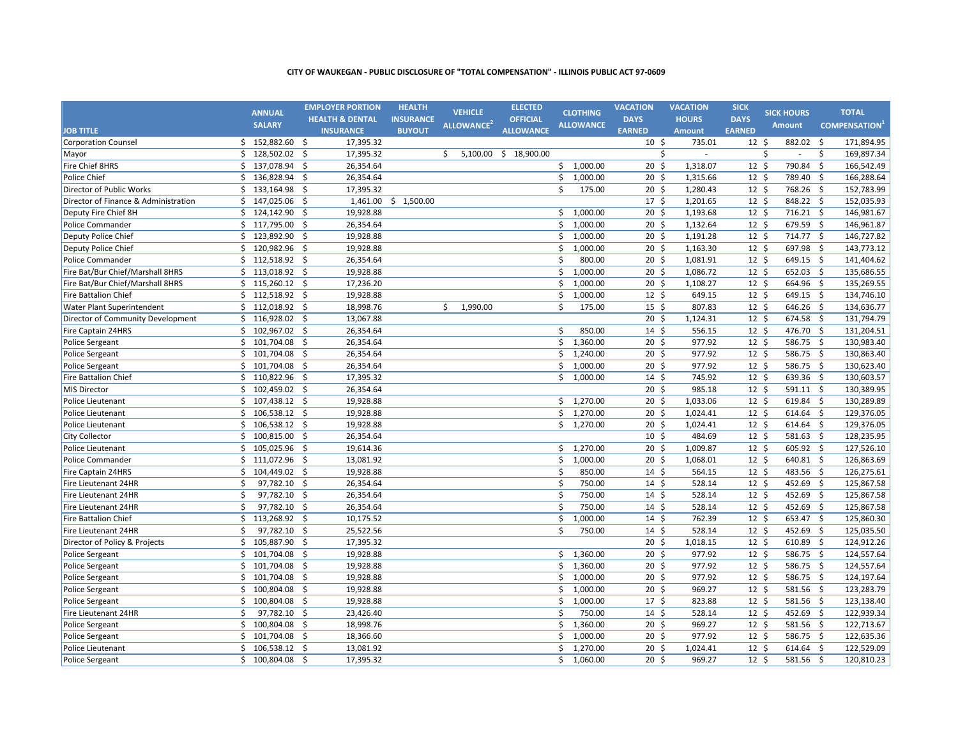|                                      |    | <b>ANNUAL</b>    | <b>EMPLOYER PORTION</b>          | <b>HEALTH</b>    | <b>VEHICLE</b>         | <b>ELECTED</b>        |                    | <b>CLOTHING</b>  | <b>VACATION</b>  | <b>VACATION</b> | <b>SICK</b>      | <b>SICK HOURS</b> |         | <b>TOTAL</b>        |
|--------------------------------------|----|------------------|----------------------------------|------------------|------------------------|-----------------------|--------------------|------------------|------------------|-----------------|------------------|-------------------|---------|---------------------|
|                                      |    | <b>SALARY</b>    | <b>HEALTH &amp; DENTAL</b>       | <b>INSURANCE</b> | ALLOWANCE <sup>2</sup> | <b>OFFICIAL</b>       |                    | <b>ALLOWANCE</b> | <b>DAYS</b>      | <b>HOURS</b>    | <b>DAYS</b>      | <b>Amount</b>     |         | <b>COMPENSATION</b> |
| <b>JOB TITLE</b>                     |    |                  | <b>INSURANCE</b>                 | <b>BUYOUT</b>    |                        | <b>ALLOWANCE</b>      |                    |                  | <b>EARNED</b>    | <b>Amount</b>   | <b>EARNED</b>    |                   |         |                     |
| <b>Corporation Counsel</b>           |    | \$152,882.60\$   | 17,395.32                        |                  |                        |                       |                    |                  | $10 \;$ \$       | 735.01          | $12 \; \text{S}$ | 882.02            | \$      | 171,894.95          |
| Mayor                                | Ś. | 128,502.02 \$    | 17,395.32                        |                  | Ŝ.                     | 5,100.00 \$ 18,900.00 |                    |                  | Ŝ.               | $\overline{a}$  |                  | Ŝ.<br>$\sim$      | Ŝ.      | 169,897.34          |
| Fire Chief 8HRS                      | Ś. | 137,078.94       | 26,354.64<br>-\$                 |                  |                        |                       |                    | \$1,000.00       | $20 \;$ \$       | 1,318.07        | 12 <sup>5</sup>  | 790.84 \$         |         | 166,542.49          |
| Police Chief                         | \$ | 136,828.94 \$    | 26,354.64                        |                  |                        |                       |                    | \$1,000.00       | $20 \; \text{S}$ | 1,315.66        | $12 \;$ \$       | 789.40 \$         |         | 166,288.64          |
| Director of Public Works             | \$ | 133,164.98       | 17,395.32<br>\$                  |                  |                        |                       | \$                 | 175.00           | 20 <sub>5</sub>  | 1,280.43        | $12 \;$ \$       | 768.26 \$         |         | 152,783.99          |
| Director of Finance & Administration |    | \$147,025.06     | -\$<br>1,461.00                  | \$1,500.00       |                        |                       |                    |                  | $17 \frac{2}{7}$ | 1,201.65        | $12 \;$ \$       | 848.22 \$         |         | 152,035.93          |
| Deputy Fire Chief 8H                 | \$ | 124,142.90       | \$<br>19,928.88                  |                  |                        |                       | \$                 | 1,000.00         | $20 \; \text{S}$ | 1,193.68        | 12 <sup>5</sup>  | 716.21 \$         |         | 146,981.67          |
| Police Commander                     |    | \$117,795.00\$   | 26,354.64                        |                  |                        |                       |                    | \$1,000.00       | $20 \; \text{S}$ | 1,132.64        | $12 \;$ \$       | 679.59 \$         |         | 146,961.87          |
| Deputy Police Chief                  | \$ | 123,892.90       | -\$<br>19,928.88                 |                  |                        |                       | \$                 | 1,000.00         | $20 \; \text{S}$ | 1,191.28        | $12 \;$ \$       | 714.77 \$         |         | 146,727.82          |
| Deputy Police Chief                  |    | $$120,982.96$ \$ | 19,928.88                        |                  |                        |                       | \$                 | 1,000.00         | $20 \; \text{S}$ | 1,163.30        | $12 \;$ \$       | 697.98 \$         |         | 143,773.12          |
| <b>Police Commander</b>              | \$ | 112,518.92 \$    | 26,354.64                        |                  |                        |                       | \$                 | 800.00           | 20 <sub>5</sub>  | 1,081.91        | $12 \;$ \$       | 649.15 \$         |         | 141,404.62          |
| Fire Bat/Bur Chief/Marshall 8HRS     | Ś. | 113,018.92       | 19,928.88<br>-\$                 |                  |                        |                       | $\mathsf{\hat{S}}$ | 1,000.00         | 20 <sub>5</sub>  | 1,086.72        | 12 <sup>5</sup>  | 652.03 \$         |         | 135,686.55          |
| Fire Bat/Bur Chief/Marshall 8HRS     | \$ | 115,260.12 \$    | 17,236.20                        |                  |                        |                       | \$                 | 1,000.00         | $20 \; \text{S}$ | 1,108.27        | $12 \;$ \$       | 664.96 \$         |         | 135,269.55          |
| Fire Battalion Chief                 | \$ | 112,518.92       | 19,928.88<br>\$                  |                  |                        |                       | Ŝ.                 | 1,000.00         | 12 <sup>5</sup>  | 649.15          | $12 \;$ \$       | 649.15 \$         |         | 134,746.10          |
| Water Plant Superintendent           |    | \$112,018.92\$   | 18,998.76                        |                  | \$<br>1,990.00         |                       | \$                 | 175.00           | $15 \; \text{S}$ | 807.83          | $12 \;$ \$       | 646.26 \$         |         | 134,636.77          |
| Director of Community Development    | \$ | 116,928.02 \$    | 13,067.88                        |                  |                        |                       |                    |                  | $20 \; \text{S}$ | 1,124.31        | $12 \;$ \$       | 674.58 \$         |         | 131,794.79          |
| Fire Captain 24HRS                   |    | \$102,967.02\$   | 26,354.64                        |                  |                        |                       | \$                 | 850.00           | $14 \; \text{S}$ | 556.15          | $12 \;$ \$       | 476.70 \$         |         | 131,204.51          |
| <b>Police Sergeant</b>               | \$ | 101,704.08       | -\$<br>26,354.64                 |                  |                        |                       | \$                 | 1,360.00         | $20 \; \text{S}$ | 977.92          | $12 \;$ \$       | 586.75 \$         |         | 130,983.40          |
| <b>Police Sergeant</b>               | \$ | 101,704.08 \$    | 26,354.64                        |                  |                        |                       | \$                 | 1,240.00         | $20 \; \text{S}$ | 977.92          | 12 <sup>5</sup>  | 586.75 \$         |         | 130,863.40          |
| <b>Police Sergeant</b>               | Ś. | 101,704.08 \$    | 26,354.64                        |                  |                        |                       | \$                 | 1,000.00         | 20 <sub>5</sub>  | 977.92          | $12 \; \text{S}$ | 586.75 \$         |         | 130,623.40          |
| <b>Fire Battalion Chief</b>          | Ś. | 110,822.96       | 17,395.32<br>\$                  |                  |                        |                       | Ś.                 | 1,000.00         | $14 \; \text{S}$ | 745.92          | $12 \text{ }$    | 639.36 \$         |         | 130,603.57          |
| MIS Director                         | Ś. | 102,459.02 \$    | 26,354.64                        |                  |                        |                       |                    |                  | $20 \; \text{S}$ | 985.18          | $12 \;$ \$       | 591.11 \$         |         | 130,389.95          |
| Police Lieutenant                    | \$ | 107,438.12       | 19,928.88<br>\$                  |                  |                        |                       |                    | \$1,270.00       | 20 <sub>5</sub>  | 1,033.06        | 12 <sup>5</sup>  | 619.84 \$         |         | 130,289.89          |
| Police Lieutenant                    | Ś. | 106,538.12 \$    | 19,928.88                        |                  |                        |                       |                    | \$1,270.00       | 20 <sub>5</sub>  | 1,024.41        | $12 \;$ \$       | 614.64 \$         |         | 129,376.05          |
| Police Lieutenant                    | \$ | 106,538.12 \$    | 19,928.88                        |                  |                        |                       | Ś.                 | 1,270.00         | $20 \; \text{S}$ | 1,024.41        | 12 <sup>5</sup>  | 614.64 \$         |         | 129,376.05          |
| <b>City Collector</b>                | \$ | 100,815.00 \$    | 26,354.64                        |                  |                        |                       |                    |                  | 10 <sup>5</sup>  | 484.69          | 12 <sup>5</sup>  | 581.63 \$         |         | 128,235.95          |
| Police Lieutenant                    | \$ | 105,025.96       | 19,614.36<br>-\$                 |                  |                        |                       |                    | \$1,270.00       | 20 <sub>5</sub>  | 1,009.87        | $12 \text{ }$    | 605.92 \$         |         | 127,526.10          |
| Police Commander                     | \$ | 111,072.96       | 13,081.92<br>$\ddot{\mathsf{S}}$ |                  |                        |                       | \$                 | 1,000.00         | 20 <sub>5</sub>  | 1,068.01        | 12 <sup>5</sup>  | 640.81 \$         |         | 126,863.69          |
| Fire Captain 24HRS                   | \$ | 104,449.02 \$    | 19,928.88                        |                  |                        |                       | \$                 | 850.00           | 14 <sup>5</sup>  | 564.15          | 12 <sup>5</sup>  | 483.56 \$         |         | 126,275.61          |
| Fire Lieutenant 24HR                 | \$ | 97,782.10        | 26,354.64<br>\$                  |                  |                        |                       | $\mathsf{\hat{S}}$ | 750.00           | 14 <sup>5</sup>  | 528.14          | 12 <sup>5</sup>  | 452.69            | $\zeta$ | 125,867.58          |
| Fire Lieutenant 24HR                 | \$ | 97,782.10        | 26,354.64<br>-\$                 |                  |                        |                       | \$                 | 750.00           | $14 \text{ }$    | 528.14          | 12 <sup>5</sup>  | 452.69 \$         |         | 125,867.58          |
| Fire Lieutenant 24HR                 | \$ | 97,782.10        | \$<br>26,354.64                  |                  |                        |                       | \$                 | 750.00           | 14 <sup>5</sup>  | 528.14          | 12 <sup>5</sup>  | 452.69            | S,      | 125,867.58          |
| <b>Fire Battalion Chief</b>          | \$ | 113,268.92 \$    | 10,175.52                        |                  |                        |                       | \$                 | 1,000.00         | 14 <sup>5</sup>  | 762.39          | $12 \;$ \$       | 653.47 \$         |         | 125,860.30          |
| Fire Lieutenant 24HR                 | \$ | 97,782.10 \$     | 25,522.56                        |                  |                        |                       | \$                 | 750.00           | 14 <sup>5</sup>  | 528.14          | $12 \; \text{S}$ | 452.69 \$         |         | 125,035.50          |
| Director of Policy & Projects        | \$ | 105,887.90 \$    | 17,395.32                        |                  |                        |                       |                    |                  | 20 <sub>5</sub>  | 1,018.15        | 12 <sup>5</sup>  | 610.89 \$         |         | 124,912.26          |
| <b>Police Sergeant</b>               | \$ | 101,704.08       | $\mathsf{\dot{S}}$<br>19,928.88  |                  |                        |                       |                    | \$1,360.00       | 20 <sub>5</sub>  | 977.92          | 12 <sup>5</sup>  | 586.75 \$         |         | 124,557.64          |
| <b>Police Sergeant</b>               | Ś. | 101,704.08 \$    | 19,928.88                        |                  |                        |                       | Ś.                 | 1,360.00         | 20 <sub>5</sub>  | 977.92          | 12 <sup>5</sup>  | 586.75 \$         |         | 124,557.64          |
| <b>Police Sergeant</b>               | Ś. | 101,704.08 \$    | 19,928.88                        |                  |                        |                       | Ś.                 | 1,000.00         | 20 <sub>5</sub>  | 977.92          | 12 <sup>5</sup>  | 586.75 \$         |         | 124,197.64          |
| <b>Police Sergeant</b>               | \$ | 100,804.08       | 19,928.88<br>Ŝ.                  |                  |                        |                       | Ŝ.                 | 1,000.00         | 20 <sub>5</sub>  | 969.27          | $12 \text{ }$    | 581.56 \$         |         | 123,283.79          |
| Police Sergeant                      | Ś. | 100,804.08       | 19,928.88<br>Ŝ.                  |                  |                        |                       | Ś.                 | 1,000.00         | 17 <sup>5</sup>  | 823.88          | 12 <sup>5</sup>  | 581.56 \$         |         | 123,138.40          |
| Fire Lieutenant 24HR                 | \$ | 97,782.10        | \$<br>23,426.40                  |                  |                        |                       | Ŝ.                 | 750.00           | $14 \text{ }$    | 528.14          | $12 \text{ }$    | 452.69            | - \$    | 122,939.34          |
| <b>Police Sergeant</b>               | Ś. | 100,804.08       | 18,998.76<br>-\$                 |                  |                        |                       | Ŝ.                 | 1,360.00         | $20 \; \text{S}$ | 969.27          | 12 <sup>5</sup>  | 581.56 \$         |         | 122,713.67          |
| <b>Police Sergeant</b>               | \$ | 101,704.08       | -\$<br>18,366.60                 |                  |                        |                       | Ś                  | 1,000.00         | 20 <sub>5</sub>  | 977.92          | $12 \text{ }$    | 586.75 \$         |         | 122,635.36          |
| Police Lieutenant                    | Ś. | 106,538.12 \$    | 13,081.92                        |                  |                        |                       | Ś.                 | 1,270.00         | 20 <sub>5</sub>  | 1,024.41        | 12 <sup>5</sup>  | 614.64 \$         |         | 122,529.09          |
| <b>Police Sergeant</b>               | Ś. | 100,804.08 \$    | 17,395.32                        |                  |                        |                       |                    | \$1,060.00       | $20 \frac{2}{3}$ | 969.27          | 12 <sup>5</sup>  | 581.56 \$         |         | 120,810.23          |
|                                      |    |                  |                                  |                  |                        |                       |                    |                  |                  |                 |                  |                   |         |                     |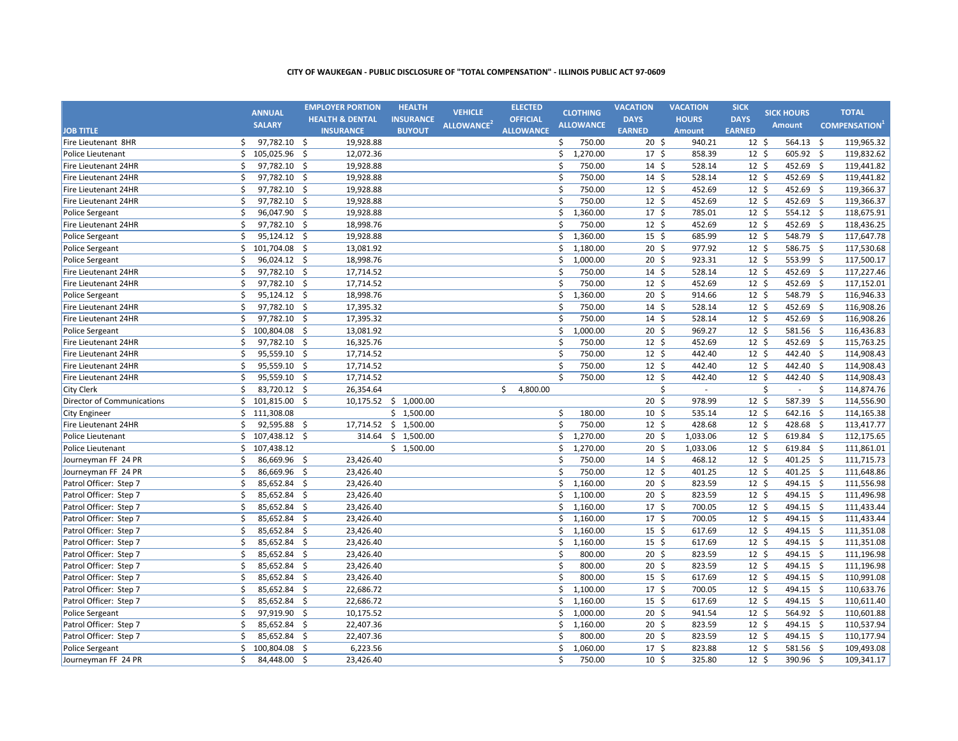|                                   |    | <b>ANNUAL</b>  |                    | <b>EMPLOYER PORTION</b>    | <b>HEALTH</b>         | <b>VEHICLE</b>         | <b>ELECTED</b>   |          | <b>CLOTHING</b>  | <b>VACATION</b>  | <b>VACATION</b> | <b>SICK</b>     | <b>SICK HOURS</b> |                    | <b>TOTAL</b>             |
|-----------------------------------|----|----------------|--------------------|----------------------------|-----------------------|------------------------|------------------|----------|------------------|------------------|-----------------|-----------------|-------------------|--------------------|--------------------------|
|                                   |    | <b>SALARY</b>  |                    | <b>HEALTH &amp; DENTAL</b> | <b>INSURANCE</b>      | ALLOWANCE <sup>2</sup> | <b>OFFICIAL</b>  |          | <b>ALLOWANCE</b> | <b>DAYS</b>      | <b>HOURS</b>    | <b>DAYS</b>     | <b>Amount</b>     |                    | <b>COMPENSATION</b>      |
| <b>JOB TITLE</b>                  |    |                |                    | <b>INSURANCE</b>           | <b>BUYOUT</b>         |                        | <b>ALLOWANCE</b> |          |                  | <b>EARNED</b>    | <b>Amount</b>   | <b>EARNED</b>   |                   |                    |                          |
| Fire Lieutenant 8HR               | Ŝ. | 97,782.10 \$   |                    | 19,928.88                  |                       |                        |                  | \$       | 750.00           | $20 \; \text{S}$ | 940.21          | $12 \cdot 5$    | 564.13            | \$                 | 119,965.32               |
| Police Lieutenant                 | \$ | 105,025.96     | -\$                | 12,072.36                  |                       |                        |                  | \$       | 1,270.00         | 17 <sup>5</sup>  | 858.39          | $12 \cdot 5$    | 605.92 \$         |                    | 119,832.62               |
| Fire Lieutenant 24HR              | Ś. | 97,782.10      | -\$                | 19,928.88                  |                       |                        |                  | Ŝ.       | 750.00           | $14 \,$ \$       | 528.14          | 12 <sup>5</sup> | 452.69            | -\$                | 119,441.82               |
| Fire Lieutenant 24HR              | Ś  | 97,782.10      | \$                 | 19,928.88                  |                       |                        |                  | \$       | 750.00           | $14 \,$ \$       | 528.14          | 12 <sup>5</sup> | 452.69            | Ś.                 | 119,441.82               |
| Fire Lieutenant 24HR              | \$ | 97,782.10      | $\mathsf{\hat{S}}$ | 19,928.88                  |                       |                        |                  | Ś.       | 750.00           | 12 <sup>5</sup>  | 452.69          | 12 <sup>5</sup> | 452.69            | Ś.                 | 119,366.37               |
| Fire Lieutenant 24HR              | \$ | 97,782.10      | \$                 | 19,928.88                  |                       |                        |                  | Ś.       | 750.00           | $12 \text{ }$    | 452.69          | 12 <sup>5</sup> | 452.69            | Ŝ.                 | 119,366.37               |
| Police Sergeant                   | Ś  | 96,047.90      | \$                 | 19,928.88                  |                       |                        |                  | Ś.       | 1,360.00         | 17 <sup>5</sup>  | 785.01          | 12 <sup>5</sup> | 554.12 \$         |                    | 118,675.91               |
| Fire Lieutenant 24HR              | \$ | 97,782.10 \$   |                    | 18,998.76                  |                       |                        |                  | \$       | 750.00           | $12 \cdot 5$     | 452.69          | 12 <sup>5</sup> | 452.69 \$         |                    | 118,436.25               |
| <b>Police Sergeant</b>            | \$ | 95,124.12 \$   |                    | 19,928.88                  |                       |                        |                  | Ś.       | 1,360.00         | 15 <sup>5</sup>  | 685.99          | 12 <sup>5</sup> | 548.79 \$         |                    | 117,647.78               |
| Police Sergeant                   | Ś. | 101,704.08 \$  |                    | 13,081.92                  |                       |                        |                  | Ś.       | 1,180.00         | 20 <sub>5</sub>  | 977.92          | $12 \cdot 5$    | 586.75 \$         |                    | 117,530.68               |
| <b>Police Sergeant</b>            | Ś  | 96,024.12 \$   |                    | 18,998.76                  |                       |                        |                  | Ś.       | 1,000.00         | 20 <sup>5</sup>  | 923.31          | $12 \cdot 5$    | 553.99 \$         |                    | 117,500.17               |
| Fire Lieutenant 24HR              | Ś. | 97,782.10 \$   |                    | 17,714.52                  |                       |                        |                  | \$       | 750.00           | $14 \; \text{S}$ | 528.14          | 12 <sup>5</sup> | 452.69            | $\overline{\xi}$   | 117,227.46               |
| Fire Lieutenant 24HR              | Ś  | 97,782.10      | -\$                | 17,714.52                  |                       |                        |                  | Ś.       | 750.00           | $12 \cdot 5$     | 452.69          | $12 \cdot 5$    | 452.69            | $\ddot{\xi}$       | 117,152.01               |
| <b>Police Sergeant</b>            | \$ | 95,124.12      | - \$               | 18,998.76                  |                       |                        |                  | \$       | 1,360.00         | 20 <sub>5</sub>  | 914.66          | 12 <sup>5</sup> | 548.79            | -\$                | 116,946.33               |
| Fire Lieutenant 24HR              | \$ | 97,782.10 \$   |                    | 17,395.32                  |                       |                        |                  | Ś.       | 750.00           | $14 \,$ \$       | 528.14          | 12 <sup>5</sup> | 452.69            | -\$                | 116,908.26               |
| Fire Lieutenant 24HR              | Ś  | 97,782.10      | -\$                | 17,395.32                  |                       |                        |                  | \$       | 750.00           | $14 \,$ \$       | 528.14          | 12 <sup>5</sup> | 452.69            | - \$               | 116,908.26               |
| <b>Police Sergeant</b>            | \$ | 100,804.08     | - \$               | 13,081.92                  |                       |                        |                  | \$       | 1,000.00         | 20 <sup>5</sup>  | 969.27          | 12 <sup>5</sup> | 581.56 \$         |                    | 116,436.83               |
| Fire Lieutenant 24HR              | \$ | 97,782.10      | -\$                | 16,325.76                  |                       |                        |                  | Ś        | 750.00           | 12 <sup>5</sup>  | 452.69          | 12 <sup>5</sup> | 452.69            | - \$               | 115,763.25               |
| Fire Lieutenant 24HR              | \$ | 95,559.10 \$   |                    | 17,714.52                  |                       |                        |                  | \$       | 750.00           | $12 \cdot 5$     | 442.40          | 12 <sup>5</sup> | 442.40 \$         |                    | 114,908.43               |
| Fire Lieutenant 24HR              | \$ | 95,559.10 \$   |                    | 17,714.52                  |                       |                        |                  | \$       | 750.00           | $12 \text{ }$    | 442.40          | $12 \cdot 5$    | 442.40 \$         |                    | 114,908.43               |
| Fire Lieutenant 24HR              | \$ | 95,559.10      | $\dot{\mathsf{s}}$ | 17,714.52                  |                       |                        |                  | Ś.       | 750.00           | 12 <sup>5</sup>  | 442.40          | $12 \text{ }$   | 442.40            | Ś.                 | 114,908.43               |
| <b>City Clerk</b>                 | Ś  | 83,720.12 \$   |                    | 26,354.64                  |                       |                        | \$<br>4,800.00   |          |                  | \$               |                 |                 | \$<br>$\sim$      | \$                 | 114,874.76               |
| <b>Director of Communications</b> | Ś. | 101,815.00     | -\$                |                            | 10,175.52 \$ 1,000.00 |                        |                  |          |                  | 20 <sub>5</sub>  | 978.99          | $12 \cdot 5$    | 587.39            | $\mathsf{\hat{S}}$ | 114,556.90               |
| <b>City Engineer</b>              |    | \$111,308.08   |                    |                            | \$1,500.00            |                        |                  | \$       | 180.00           | 10 <sup>5</sup>  | 535.14          | 12 <sup>5</sup> | 642.16            | 5                  | 114,165.38               |
| Fire Lieutenant 24HR              | Ś  | 92,595.88      | -\$                |                            | 17,714.52 \$ 1,500.00 |                        |                  | \$       | 750.00           | 12 <sup>5</sup>  | 428.68          | $12 \cdot 5$    | 428.68            | $\mathsf{S}$       | 113,417.77               |
| Police Lieutenant                 | \$ | 107,438.12 \$  |                    |                            | 314.64 \$ 1,500.00    |                        |                  | \$       | 1,270.00         | 20 <sub>5</sub>  | 1,033.06        | 12 <sup>5</sup> | 619.84 \$         |                    | 112,175.65               |
| Police Lieutenant                 | \$ | 107,438.12     |                    |                            | \$1,500.00            |                        |                  | Ś        | 1,270.00         | 20 <sub>5</sub>  | 1,033.06        | $12 \cdot 5$    | 619.84 \$         |                    | 111,861.01               |
| Journeyman FF 24 PR               | \$ | 86,669.96 \$   |                    | 23,426.40                  |                       |                        |                  | \$       | 750.00           | $14 \,$ \$       | 468.12          | 12 <sup>5</sup> | 401.25 \$         |                    | 111,715.73               |
| Journeyman FF 24 PR               | \$ | 86,669.96      | -\$                | 23,426.40                  |                       |                        |                  | Ś.       | 750.00           | $12 \text{ }$    | 401.25          | $12 \cdot 5$    | 401.25 \$         |                    | 111,648.86               |
| Patrol Officer: Step 7            | \$ | 85,652.84      | \$                 | 23,426.40                  |                       |                        |                  | Ś.       | 1,160.00         | 20 <sub>5</sub>  | 823.59          | 12 <sup>5</sup> | 494.15 \$         |                    | 111,556.98               |
| Patrol Officer: Step 7            | \$ | 85,652.84      | \$                 | 23,426.40                  |                       |                        |                  | Ś.       | 1,100.00         | 20 <sub>5</sub>  | 823.59          | 12 <sup>5</sup> | 494.15 \$         |                    | 111,496.98               |
| Patrol Officer: Step 7            | \$ | 85,652.84      | \$                 | 23,426.40                  |                       |                        |                  | Ś.       | 1,160.00         | 17 <sup>5</sup>  | 700.05          | 12 <sup>5</sup> | 494.15            | $\zeta$            | 111,433.44               |
| Patrol Officer: Step 7            | \$ | 85,652.84      | \$                 | 23,426.40                  |                       |                        |                  | Ś.       | 1,160.00         | 17 <sup>5</sup>  | 700.05          | 12 <sup>5</sup> | 494.15 \$         |                    | 111,433.44               |
| Patrol Officer: Step 7            | \$ | 85,652.84      | -\$                | 23,426.40                  |                       |                        |                  | Ś        | 1,160.00         | $15 \pm 5$       | 617.69          | 12 <sup>5</sup> | 494.15 \$         |                    | 111,351.08               |
| Patrol Officer: Step 7            | \$ | 85,652.84 \$   |                    | 23,426.40                  |                       |                        |                  | \$       | 1,160.00         | $15 \;$ \$       | 617.69          | 12 <sup>5</sup> | 494.15 \$         |                    | 111,351.08               |
| Patrol Officer: Step 7            | \$ | 85,652.84      | -\$                |                            |                       |                        |                  |          | 800.00           | 20 <sup>5</sup>  | 823.59          | $12 \cdot 5$    | 494.15 \$         |                    |                          |
|                                   | \$ | $85,652.84$ \$ |                    | 23,426.40<br>23,426.40     |                       |                        |                  | \$<br>\$ | 800.00           | 20 <sup>5</sup>  | 823.59          | $12 \cdot 5$    | 494.15 \$         |                    | 111,196.98<br>111,196.98 |
| Patrol Officer: Step 7            | \$ | 85,652.84 \$   |                    |                            |                       |                        |                  | \$       |                  |                  |                 |                 | 494.15 \$         |                    | 110,991.08               |
| Patrol Officer: Step 7            |    |                |                    | 23,426.40                  |                       |                        |                  |          | 800.00           | $15 \;$ \$       | 617.69          | $12 \cdot 5$    |                   |                    |                          |
| Patrol Officer: Step 7            | \$ | 85,652.84      | \$                 | 22,686.72                  |                       |                        |                  | Ś.       | 1,100.00         | 17 <sup>5</sup>  | 700.05          | 12 <sup>5</sup> | 494.15 \$         |                    | 110,633.76               |
| Patrol Officer: Step 7            | \$ | 85,652.84      | -\$                | 22,686.72                  |                       |                        |                  | Ś.       | 1,160.00         | 15 <sup>5</sup>  | 617.69          | 12 <sup>5</sup> | 494.15 \$         |                    | 110,611.40               |
| <b>Police Sergeant</b>            | \$ | 97,919.90      | \$                 | 10,175.52                  |                       |                        |                  | Ś.       | 1,000.00         | 20 <sup>5</sup>  | 941.54          | 12 <sup>5</sup> | 564.92            | -\$                | 110,601.88               |
| Patrol Officer: Step 7            | Ś  | 85,652.84      | \$                 | 22,407.36                  |                       |                        |                  | \$       | 1,160.00         | 20 <sup>5</sup>  | 823.59          | 12 <sup>5</sup> | 494.15 \$         |                    | 110,537.94               |
| Patrol Officer: Step 7            | \$ | 85,652.84      | -\$                | 22,407.36                  |                       |                        |                  | Ś        | 800.00           | 20 <sup>5</sup>  | 823.59          | 12 <sup>5</sup> | 494.15 \$         |                    | 110,177.94               |
| <b>Police Sergeant</b>            | \$ | 100,804.08     | -\$                | 6,223.56                   |                       |                        |                  | \$       | 1,060.00         | 17 <sup>5</sup>  | 823.88          | 12 <sup>5</sup> | 581.56 \$         |                    | 109,493.08               |
| Journeyman FF 24 PR               | Ś. | 84,448.00      | S.                 | 23,426.40                  |                       |                        |                  | Ś.       | 750.00           | 10 <sup>5</sup>  | 325.80          | 12 <sup>5</sup> | 390.96 \$         |                    | 109,341.17               |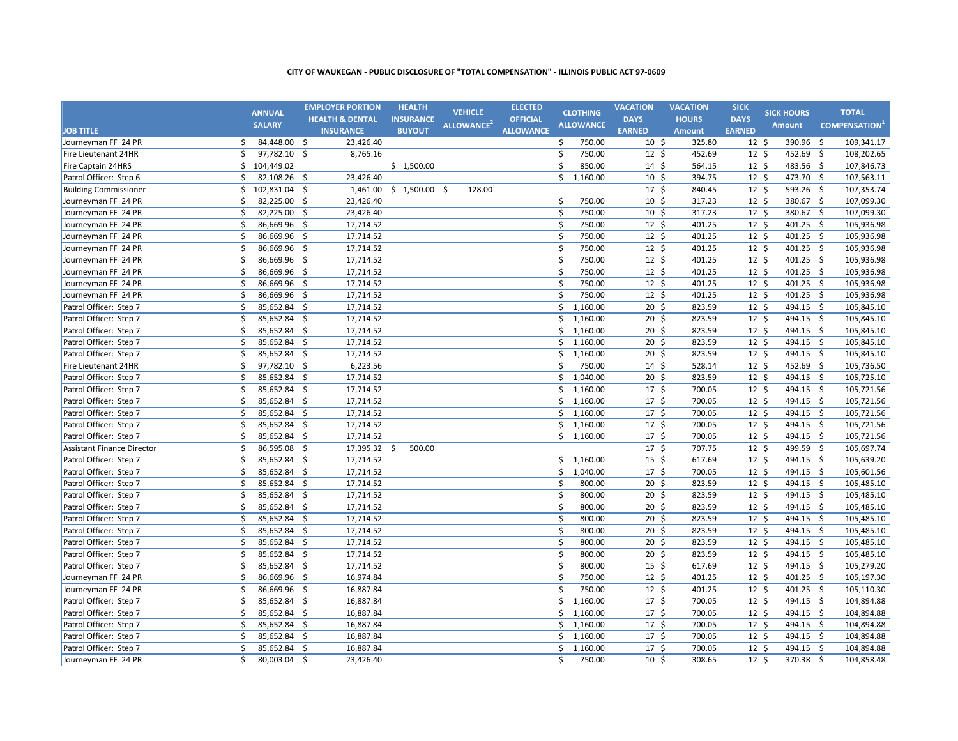|                                   |    | <b>ANNUAL</b>  |                     | <b>EMPLOYER PORTION</b>    | <b>HEALTH</b>    |     | <b>VEHICLE</b>         | <b>ELECTED</b>   |         | <b>CLOTHING</b>  | <b>VACATION</b>  | <b>VACATION</b> | <b>SICK</b>     | <b>SICK HOURS</b> |      | <b>TOTAL</b>                     |
|-----------------------------------|----|----------------|---------------------|----------------------------|------------------|-----|------------------------|------------------|---------|------------------|------------------|-----------------|-----------------|-------------------|------|----------------------------------|
|                                   |    | <b>SALARY</b>  |                     | <b>HEALTH &amp; DENTAL</b> | <b>INSURANCE</b> |     | ALLOWANCE <sup>2</sup> | <b>OFFICIAL</b>  |         | <b>ALLOWANCE</b> | <b>DAYS</b>      | <b>HOURS</b>    | <b>DAYS</b>     | Amount            |      | <b>COMPENSATION</b> <sup>1</sup> |
| <b>JOB TITLE</b>                  |    |                |                     | <b>INSURANCE</b>           | <b>BUYOUT</b>    |     |                        | <b>ALLOWANCE</b> |         |                  | <b>EARNED</b>    | <b>Amount</b>   | <b>EARNED</b>   |                   |      |                                  |
| Journeyman FF 24 PR               | \$ | 84,448.00 \$   |                     | 23,426.40                  |                  |     |                        |                  | \$      | 750.00           | $10 \; \text{S}$ | 325.80          | $12 \;$ \$      | 390.96            | \$   | 109,341.17                       |
| Fire Lieutenant 24HR              | Ś  | 97,782.10 \$   |                     | 8,765.16                   |                  |     |                        |                  | \$      | 750.00           | $12 \;$ \$       | 452.69          | $12 \;$ \$      | 452.69 \$         |      | 108,202.65                       |
| <b>Fire Captain 24HRS</b>         | \$ | 104,449.02     |                     |                            | \$1,500.00       |     |                        |                  | \$      | 850.00           | $14 \;$ \$       | 564.15          | $12 \;$ \$      | 483.56 \$         |      | 107,846.73                       |
| Patrol Officer: Step 6            | Ś  | 82,108.26      | - \$                | 23,426.40                  |                  |     |                        |                  | \$      | 1,160.00         | 10 <sup>5</sup>  | 394.75          | $12 \;$ \$      | 473.70            | -\$  | 107,563.11                       |
| <b>Building Commissioner</b>      | \$ | 102,831.04     | \$                  | 1,461.00                   | \$1,500.00       | -\$ | 128.00                 |                  |         |                  | 17 <sup>5</sup>  | 840.45          | 12 <sup>5</sup> | 593.26 \$         |      | 107,353.74                       |
| Journeyman FF 24 PR               | Ś  | 82,225.00 \$   |                     | 23,426.40                  |                  |     |                        |                  | \$      | 750.00           | $10 \; \text{S}$ | 317.23          | $12 \;$ \$      | 380.67 \$         |      | 107,099.30                       |
| Journeyman FF 24 PR               | \$ | 82,225.00      | $\ddot{\mathsf{S}}$ | 23,426.40                  |                  |     |                        |                  | \$      | 750.00           | $10 \; \text{S}$ | 317.23          | $12 \;$ \$      | 380.67 \$         |      | 107,099.30                       |
| Journeyman FF 24 PR               | \$ | 86,669.96 \$   |                     | 17,714.52                  |                  |     |                        |                  | \$      | 750.00           | $12 \;$ \$       | 401.25          | $12 \;$ \$      | 401.25 \$         |      | 105,936.98                       |
| Journeyman FF 24 PR               | \$ | 86,669.96      | $\zeta$             | 17,714.52                  |                  |     |                        |                  | \$      | 750.00           | $12 \cdot 5$     | 401.25          | 12 <sup>5</sup> | 401.25 \$         |      | 105,936.98                       |
| Journeyman FF 24 PR               | Ś. | $86,669.96$ \$ |                     | 17,714.52                  |                  |     |                        |                  | \$      | 750.00           | 12 <sup>5</sup>  | 401.25          | 12 <sup>5</sup> | 401.25 \$         |      | 105,936.98                       |
| Journeyman FF 24 PR               | \$ | 86,669.96 \$   |                     | 17,714.52                  |                  |     |                        |                  | \$      | 750.00           | 12 <sup>5</sup>  | 401.25          | 12 <sup>5</sup> | 401.25 \$         |      | 105,936.98                       |
| Journeyman FF 24 PR               | \$ | 86,669.96      | $\zeta$             | 17,714.52                  |                  |     |                        |                  | \$      | 750.00           | 12 <sup>5</sup>  | 401.25          | 12 <sup>5</sup> | 401.25 \$         |      | 105,936.98                       |
| Journeyman FF 24 PR               | \$ | 86,669.96      | \$                  | 17,714.52                  |                  |     |                        |                  | \$      | 750.00           | $12 \;$ \$       | 401.25          | 12 <sup>5</sup> | 401.25 \$         |      | 105,936.98                       |
| Journeyman FF 24 PR               | \$ | 86,669.96      | $\ddot{\mathsf{S}}$ | 17,714.52                  |                  |     |                        |                  | \$      | 750.00           | 12 <sup>5</sup>  | 401.25          | 12 <sup>5</sup> | 401.25 \$         |      | 105,936.98                       |
| Patrol Officer: Step 7            | \$ | 85,652.84 \$   |                     | 17,714.52                  |                  |     |                        |                  | \$      | 1,160.00         | $20 \frac{2}{3}$ | 823.59          | $12 \;$ \$      | 494.15 \$         |      | 105,845.10                       |
| Patrol Officer: Step 7            | \$ | 85,652.84 \$   |                     | 17,714.52                  |                  |     |                        |                  | \$      | 1,160.00         | $20 \; \text{S}$ | 823.59          | $12 \; \xi$     | 494.15 \$         |      | 105,845.10                       |
| Patrol Officer: Step 7            | \$ | 85,652.84 \$   |                     | 17,714.52                  |                  |     |                        |                  | \$      | 1,160.00         | 20 <sub>5</sub>  | 823.59          | 12 <sup>5</sup> | 494.15 \$         |      | 105,845.10                       |
| Patrol Officer: Step 7            | \$ | 85,652.84      | \$                  | 17,714.52                  |                  |     |                        |                  | \$      | 1,160.00         | 20 <sub>5</sub>  | 823.59          | $12 \pm$        | 494.15 \$         |      | 105,845.10                       |
| Patrol Officer: Step 7            | Ś. | 85,652.84 \$   |                     | 17,714.52                  |                  |     |                        |                  | Ś.      | 1,160.00         | 20 <sub>5</sub>  | 823.59          | 12 <sup>5</sup> | 494.15 \$         |      | 105,845.10                       |
| Fire Lieutenant 24HR              | \$ | 97,782.10      | -\$                 | 6,223.56                   |                  |     |                        |                  | Ś.      | 750.00           | $14 \text{ }$    | 528.14          | 12 <sup>5</sup> | 452.69 \$         |      | 105,736.50                       |
| Patrol Officer: Step 7            | \$ | 85,652.84      | -\$                 | 17,714.52                  |                  |     |                        |                  | \$      | 1,040.00         | 20 <sub>5</sub>  | 823.59          | 12 <sup>5</sup> | 494.15 \$         |      | 105,725.10                       |
| Patrol Officer: Step 7            | \$ | 85,652.84 \$   |                     | 17,714.52                  |                  |     |                        |                  |         | \$1,160.00       | 17 <sup>5</sup>  | 700.05          | 12 <sup>5</sup> | 494.15 \$         |      | 105,721.56                       |
| Patrol Officer: Step 7            | \$ | 85,652.84      | -\$                 | 17,714.52                  |                  |     |                        |                  | Ś.      | 1,160.00         | 17 <sup>5</sup>  | 700.05          | 12 <sup>5</sup> | 494.15 \$         |      | 105,721.56                       |
| Patrol Officer: Step 7            | \$ | $85,652.84$ \$ |                     | 17,714.52                  |                  |     |                        |                  |         | \$1,160.00       | $17 \frac{2}{7}$ | 700.05          | $12 \;$ \$      | 494.15 \$         |      | 105,721.56                       |
| Patrol Officer: Step 7            | \$ | 85,652.84 \$   |                     | 17,714.52                  |                  |     |                        |                  |         | \$1,160.00       | $17 \;$ \$       | 700.05          | $12 \;$ \$      | 494.15 \$         |      | 105,721.56                       |
| Patrol Officer: Step 7            | \$ | 85,652.84 \$   |                     | 17,714.52                  |                  |     |                        |                  |         | \$1,160.00       | $17 \;$ \$       | 700.05          | $12 \;$ \$      | 494.15 \$         |      | 105,721.56                       |
| <b>Assistant Finance Director</b> | \$ | 86,595.08      | -\$                 | 17,395.32 \$               | 500.00           |     |                        |                  |         |                  | $17 \;$ \$       | 707.75          | $12 \;$ \$      | 499.59 \$         |      | 105,697.74                       |
| Patrol Officer: Step 7            | \$ | 85,652.84 \$   |                     | 17,714.52                  |                  |     |                        |                  |         | \$1,160.00       | $15 \; \text{S}$ | 617.69          | $12 \;$ \$      | 494.15 \$         |      | 105,639.20                       |
| Patrol Officer: Step 7            | \$ | 85,652.84 \$   |                     | 17,714.52                  |                  |     |                        |                  | \$      | 1,040.00         | 17 <sup>5</sup>  | 700.05          | $12 \;$ \$      | 494.15 \$         |      | 105,601.56                       |
| Patrol Officer: Step 7            | \$ | 85,652.84      | $\ddot{\mathsf{S}}$ | 17,714.52                  |                  |     |                        |                  | \$      | 800.00           | $20 \; \text{S}$ | 823.59          | $12 \;$ \$      | 494.15 \$         |      | 105,485.10                       |
| Patrol Officer: Step 7            | \$ | 85,652.84      | -\$                 | 17,714.52                  |                  |     |                        |                  | \$      | 800.00           | $20 \; \text{S}$ | 823.59          | $12 \;$ \$      | 494.15            | - \$ | 105,485.10                       |
| Patrol Officer: Step 7            | \$ | 85,652.84      | $\ddot{\mathsf{S}}$ | 17,714.52                  |                  |     |                        |                  | \$      | 800.00           | 20 <sub>5</sub>  | 823.59          | $12 \;$ \$      | 494.15 \$         |      | 105,485.10                       |
| Patrol Officer: Step 7            | \$ | 85,652.84 \$   |                     | 17,714.52                  |                  |     |                        |                  | \$      | 800.00           | $20 \; \text{S}$ | 823.59          | $12 \;$ \$      | 494.15 \$         |      | 105,485.10                       |
| Patrol Officer: Step 7            | \$ | 85,652.84 \$   |                     | 17,714.52                  |                  |     |                        |                  | \$      | 800.00           | $20 \; \text{S}$ | 823.59          | $12 \;$ \$      | 494.15 \$         |      | 105,485.10                       |
| Patrol Officer: Step 7            | \$ | 85,652.84 \$   |                     | 17,714.52                  |                  |     |                        |                  | \$      | 800.00           | $20 \; \text{S}$ | 823.59          | $12 \;$ \$      | 494.15 \$         |      | 105,485.10                       |
| Patrol Officer: Step 7            | \$ | 85,652.84      | $\ddot{\mathsf{S}}$ | 17,714.52                  |                  |     |                        |                  | \$      | 800.00           | $20 \; \text{S}$ | 823.59          | $12 \;$ \$      | 494.15 \$         |      | 105,485.10                       |
| Patrol Officer: Step 7            | \$ | 85,652.84 \$   |                     | 17,714.52                  |                  |     |                        |                  | \$      | 800.00           | $15 \; \text{S}$ | 617.69          | $12 \;$ \$      | 494.15 \$         |      | 105,279.20                       |
| Journeyman FF 24 PR               | \$ | 86,669.96 \$   |                     | 16,974.84                  |                  |     |                        |                  | \$      | 750.00           | $12 \;$ \$       | 401.25          | $12 \;$ \$      | 401.25 \$         |      | 105,197.30                       |
| Journeyman FF 24 PR               | \$ | 86,669.96      | $\ddot{\mathsf{S}}$ | 16,887.84                  |                  |     |                        |                  | $\zeta$ | 750.00           | 12 <sup>5</sup>  | 401.25          | $12 \;$ \$      | 401.25 \$         |      | 105,110.30                       |
| Patrol Officer: Step 7            | \$ | 85,652.84      | \$                  | 16,887.84                  |                  |     |                        |                  | \$      | 1,160.00         | $17 \frac{2}{7}$ | 700.05          | 12 <sup>5</sup> | 494.15            | \$   | 104,894.88                       |
| Patrol Officer: Step 7            | \$ | 85,652.84      | $\ddot{\mathsf{S}}$ | 16,887.84                  |                  |     |                        |                  | \$      | 1,160.00         | 17 <sup>5</sup>  | 700.05          | 12 <sup>5</sup> | 494.15 \$         |      | 104,894.88                       |
| Patrol Officer: Step 7            | \$ | 85,652.84 \$   |                     | 16,887.84                  |                  |     |                        |                  | \$      | 1,160.00         | 17 <sup>5</sup>  | 700.05          | $12 \;$ \$      | 494.15 \$         |      | 104,894.88                       |
| Patrol Officer: Step 7            | \$ | 85,652.84      | -\$                 | 16,887.84                  |                  |     |                        |                  | \$      | 1,160.00         | $17 \frac{2}{7}$ | 700.05          | 12 <sup>5</sup> | $494.15$ \$       |      | 104,894.88                       |
| Patrol Officer: Step 7            | \$ | 85,652.84 \$   |                     | 16,887.84                  |                  |     |                        |                  | \$      | 1,160.00         | 17 <sup>5</sup>  | 700.05          | 12 <sup>5</sup> | 494.15 \$         |      | 104,894.88                       |
| Journeyman FF 24 PR               | Ś. | 80,003.04 \$   |                     | 23,426.40                  |                  |     |                        |                  | Ŝ.      | 750.00           | 10 <sup>5</sup>  | 308.65          | $12 \cdot 5$    | 370.38 \$         |      | 104,858.48                       |
|                                   |    |                |                     |                            |                  |     |                        |                  |         |                  |                  |                 |                 |                   |      |                                  |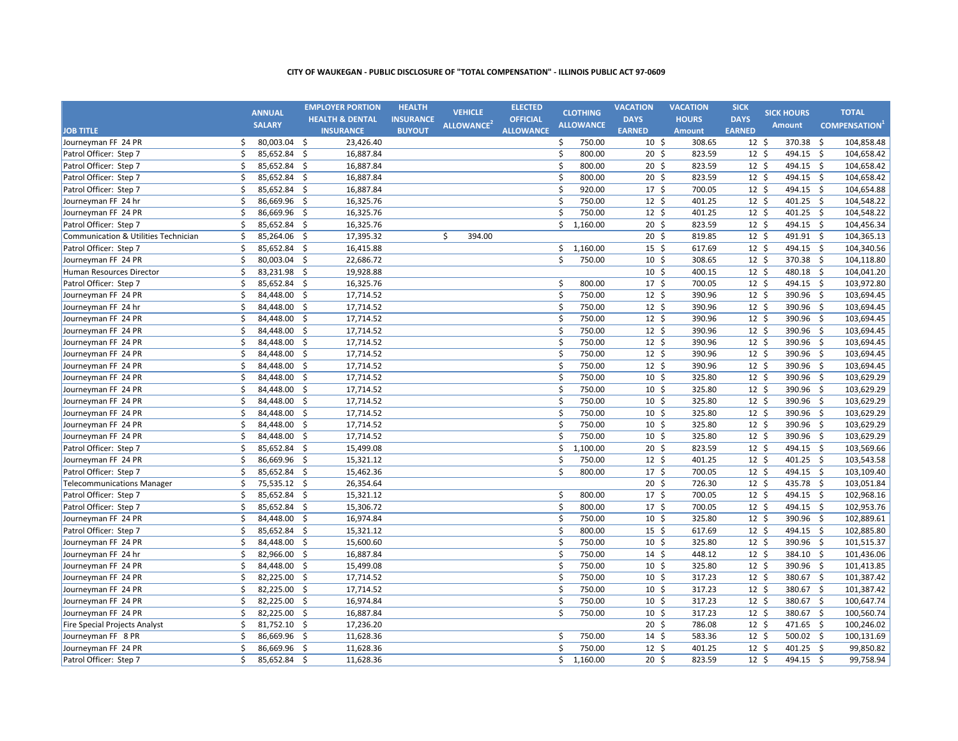|                                      |    | <b>ANNUAL</b> |                     | <b>EMPLOYER PORTION</b>    | <b>HEALTH</b>    | <b>VEHICLE</b>         | <b>ELECTED</b>   |         | <b>CLOTHING</b>  | <b>VACATION</b>  | <b>VACATION</b> | <b>SICK</b>     | <b>SICK HOURS</b> |                     | <b>TOTAL</b>        |
|--------------------------------------|----|---------------|---------------------|----------------------------|------------------|------------------------|------------------|---------|------------------|------------------|-----------------|-----------------|-------------------|---------------------|---------------------|
|                                      |    | <b>SALARY</b> |                     | <b>HEALTH &amp; DENTAL</b> | <b>INSURANCE</b> | ALLOWANCE <sup>2</sup> | <b>OFFICIAL</b>  |         | <b>ALLOWANCE</b> | <b>DAYS</b>      | <b>HOURS</b>    | <b>DAYS</b>     | Amount            |                     | <b>COMPENSATION</b> |
| <b>JOB TITLE</b>                     |    |               |                     | <b>INSURANCE</b>           | <b>BUYOUT</b>    |                        | <b>ALLOWANCE</b> |         |                  | <b>EARNED</b>    | <b>Amount</b>   | <b>EARNED</b>   |                   |                     |                     |
| Journeyman FF 24 PR                  | Ŝ. | 80,003.04 \$  |                     | 23,426.40                  |                  |                        |                  | \$      | 750.00           | $10\frac{1}{2}$  | 308.65          | $12 \;$ \$      | 370.38            | $\ddot{\mathsf{s}}$ | 104,858.48          |
| Patrol Officer: Step 7               | \$ | 85,652.84 \$  |                     | 16,887.84                  |                  |                        |                  | \$      | 800.00           | $20 \; \text{S}$ | 823.59          | $12 \;$ \$      | 494.15 \$         |                     | 104,658.42          |
| Patrol Officer: Step 7               | \$ | 85,652.84     | -\$                 | 16,887.84                  |                  |                        |                  | \$      | 800.00           | $20 \; \text{S}$ | 823.59          | $12 \div$       | 494.15 \$         |                     | 104,658.42          |
| Patrol Officer: Step 7               | \$ | 85,652.84 \$  |                     | 16,887.84                  |                  |                        |                  | \$      | 800.00           | $20 \; \text{S}$ | 823.59          | $12 \;$ \$      | 494.15 \$         |                     | 104,658.42          |
| Patrol Officer: Step 7               | \$ | 85,652.84     | \$                  | 16,887.84                  |                  |                        |                  | \$      | 920.00           | $17 \frac{2}{7}$ | 700.05          | $12 \;$ \$      | 494.15            | - \$                | 104,654.88          |
| Journeyman FF 24 hr                  | \$ | 86,669.96     | $\ddot{\mathsf{S}}$ | 16,325.76                  |                  |                        |                  | \$      | 750.00           | $12 \;$ \$       | 401.25          | $12 \;$ \$      | 401.25 \$         |                     | 104,548.22          |
| Journeyman FF 24 PR                  | \$ | 86,669.96     | $\ddot{\mathsf{S}}$ | 16,325.76                  |                  |                        |                  | \$      | 750.00           | $12 \;$ \$       | 401.25          | $12 \;$ \$      | 401.25 \$         |                     | 104,548.22          |
| Patrol Officer: Step 7               | \$ | 85,652.84     | $\ddot{\mathsf{S}}$ | 16,325.76                  |                  |                        |                  | \$      | 1,160.00         | $20 \; \text{S}$ | 823.59          | $12 \;$ \$      | 494.15 \$         |                     | 104,456.34          |
| Communication & Utilities Technician | \$ | 85,264.06     | -\$                 | 17,395.32                  |                  | \$<br>394.00           |                  |         |                  | $20 \; \text{S}$ | 819.85          | $12 \;$ \$      | 491.91 \$         |                     | 104,365.13          |
| Patrol Officer: Step 7               | \$ | 85,652.84 \$  |                     | 16,415.88                  |                  |                        |                  | \$      | 1,160.00         | $15 \; \text{S}$ | 617.69          | $12 \;$ \$      | 494.15 \$         |                     | 104,340.56          |
| Journeyman FF 24 PR                  | \$ | 80,003.04 \$  |                     | 22,686.72                  |                  |                        |                  | Ś.      | 750.00           | $10 \; \text{S}$ | 308.65          | $12 \;$ \$      | 370.38 \$         |                     | 104,118.80          |
| Human Resources Director             | \$ | 83,231.98     | \$                  | 19,928.88                  |                  |                        |                  |         |                  | $10 \;$ \$       | 400.15          | $12 \;$ \$      | 480.18            | $\mathsf{\hat{S}}$  | 104,041.20          |
| Patrol Officer: Step 7               | \$ | 85,652.84     | -\$                 | 16,325.76                  |                  |                        |                  | \$      | 800.00           | 17 <sup>5</sup>  | 700.05          | $12 \;$ \$      | 494.15 \$         |                     | 103,972.80          |
| Journeyman FF 24 PR                  | \$ | 84,448.00     | \$                  | 17,714.52                  |                  |                        |                  | $\zeta$ | 750.00           | 12 <sup>5</sup>  | 390.96          | $12 \;$ \$      | 390.96            | -\$                 | 103,694.45          |
| Journeyman FF 24 hr                  | \$ | 84,448.00     | \$                  | 17,714.52                  |                  |                        |                  | \$      | 750.00           | $12 \;$ \$       | 390.96          | $12 \;$ \$      | 390.96 \$         |                     | 103,694.45          |
| Journeyman FF 24 PR                  | \$ | 84,448.00     | $\ddot{\mathsf{S}}$ | 17,714.52                  |                  |                        |                  | \$      | 750.00           | $12 \;$ \$       | 390.96          | $12 \;$ \$      | 390.96 \$         |                     | 103,694.45          |
| Journeyman FF 24 PR                  | \$ | 84,448.00     | \$                  | 17,714.52                  |                  |                        |                  | \$      | 750.00           | $12 \;$ \$       | 390.96          | $12 \;$ \$      | 390.96 \$         |                     | 103,694.45          |
| Journeyman FF 24 PR                  | \$ | 84,448.00     | -\$                 | 17,714.52                  |                  |                        |                  | \$      | 750.00           | $12 \;$ \$       | 390.96          | 12 <sup>5</sup> | 390.96 \$         |                     | 103,694.45          |
| Journeyman FF 24 PR                  | \$ | 84,448.00     | $\ddot{\mathsf{S}}$ | 17,714.52                  |                  |                        |                  | \$      | 750.00           | 12 <sup>5</sup>  | 390.96          | $12 \;$ \$      | 390.96 \$         |                     | 103,694.45          |
| Journeyman FF 24 PR                  | \$ | 84,448.00     | $\ddot{\mathsf{S}}$ | 17,714.52                  |                  |                        |                  | \$      | 750.00           | $12 \;$ \$       | 390.96          | $12 \;$ \$      | 390.96 \$         |                     | 103,694.45          |
| Journeyman FF 24 PR                  | \$ | 84,448.00     | \$                  | 17,714.52                  |                  |                        |                  | \$      | 750.00           | 10 <sup>5</sup>  | 325.80          | 12 <sup>5</sup> | 390.96 \$         |                     | 103,629.29          |
| Journeyman FF 24 PR                  | \$ | 84,448.00     | -\$                 | 17,714.52                  |                  |                        |                  | \$      | 750.00           | 10 <sup>5</sup>  | 325.80          | 12 <sup>5</sup> | 390.96 \$         |                     | 103,629.29          |
| Journeyman FF 24 PR                  | \$ | 84,448.00     | $\ddot{\mathsf{S}}$ | 17,714.52                  |                  |                        |                  | \$      | 750.00           | 10 <sup>5</sup>  | 325.80          | 12 <sup>5</sup> | 390.96 \$         |                     | 103,629.29          |
| Journeyman FF 24 PR                  | \$ | 84,448.00 \$  |                     | 17,714.52                  |                  |                        |                  | \$      | 750.00           | $10 \;$ \$       | 325.80          | $12 \;$ \$      | 390.96 \$         |                     | 103,629.29          |
| Journeyman FF 24 PR                  | \$ | 84,448.00     | $\zeta$             | 17,714.52                  |                  |                        |                  | \$      | 750.00           | 10 <sup>5</sup>  | 325.80          | 12 <sup>5</sup> | 390.96 \$         |                     | 103,629.29          |
| Journeyman FF 24 PR                  | \$ | 84,448.00 \$  |                     | 17,714.52                  |                  |                        |                  | \$      | 750.00           | $10 \; \text{S}$ | 325.80          | 12 <sup>5</sup> | 390.96 \$         |                     | 103,629.29          |
| Patrol Officer: Step 7               | \$ | 85,652.84     | -\$                 | 15,499.08                  |                  |                        |                  | \$      | 1,100.00         | $20 \; \text{S}$ | 823.59          | 12 <sup>5</sup> | 494.15 \$         |                     | 103,569.66          |
| Journeyman FF 24 PR                  | \$ | 86,669.96 \$  |                     | 15,321.12                  |                  |                        |                  | \$      | 750.00           | 12 <sup>5</sup>  | 401.25          | 12 <sup>5</sup> | 401.25 \$         |                     | 103,543.58          |
| Patrol Officer: Step 7               | \$ | 85,652.84 \$  |                     | 15,462.36                  |                  |                        |                  | Ś.      | 800.00           | 17 <sup>5</sup>  | 700.05          | $12 \;$ \$      | 494.15 \$         |                     | 103,109.40          |
| <b>Telecommunications Manager</b>    | \$ | 75,535.12     | $\ddot{\mathsf{S}}$ | 26,354.64                  |                  |                        |                  |         |                  | 20 <sub>5</sub>  | 726.30          | 12 <sup>5</sup> | 435.78            | $\mathsf{\hat{S}}$  | 103,051.84          |
| Patrol Officer: Step 7               | \$ | 85,652.84 \$  |                     | 15,321.12                  |                  |                        |                  | \$      | 800.00           | 17 <sup>5</sup>  | 700.05          | $12 \;$ \$      | 494.15 \$         |                     | 102,968.16          |
| Patrol Officer: Step 7               | \$ | 85,652.84     | \$                  | 15,306.72                  |                  |                        |                  | \$      | 800.00           | 17 <sup>5</sup>  | 700.05          | 12 <sup>5</sup> | 494.15 \$         |                     | 102,953.76          |
| Journeyman FF 24 PR                  | \$ | 84,448.00 \$  |                     | 16,974.84                  |                  |                        |                  | \$      | 750.00           | $10 \; \text{S}$ | 325.80          | $12 \;$ \$      | 390.96 \$         |                     | 102,889.61          |
| Patrol Officer: Step 7               | \$ | 85,652.84 \$  |                     | 15,321.12                  |                  |                        |                  | \$      | 800.00           | $15 \; \text{S}$ | 617.69          | $12 \; \xi$     | 494.15 \$         |                     | 102,885.80          |
| Journeyman FF 24 PR                  | \$ | 84,448.00 \$  |                     | 15,600.60                  |                  |                        |                  | \$      | 750.00           | $10 \; \text{S}$ | 325.80          | $12 \;$ \$      | 390.96 \$         |                     | 101,515.37          |
| Journeyman FF 24 hr                  | \$ | 82,966.00     | $\mathsf{S}$        | 16,887.84                  |                  |                        |                  | \$      | 750.00           | $14 \text{ }$    | 448.12          | $12 \;$ \$      | 384.10 \$         |                     | 101,436.06          |
| Journeyman FF 24 PR                  | \$ | 84,448.00 \$  |                     | 15,499.08                  |                  |                        |                  | \$      | 750.00           | 10 <sup>5</sup>  | 325.80          | 12 <sup>5</sup> | 390.96 \$         |                     | 101,413.85          |
| Journeyman FF 24 PR                  | \$ | 82,225.00     | $\zeta$             | 17,714.52                  |                  |                        |                  | \$      | 750.00           | 10 <sup>5</sup>  | 317.23          | 12 <sup>5</sup> | 380.67 \$         |                     | 101,387.42          |
| Journeyman FF 24 PR                  | \$ | 82,225.00     | \$                  | 17,714.52                  |                  |                        |                  | \$      | 750.00           | 10 <sup>5</sup>  | 317.23          | 12 <sup>5</sup> | 380.67 \$         |                     | 101,387.42          |
| Journeyman FF 24 PR                  | \$ | 82,225.00     | $\dot{\mathsf{S}}$  | 16,974.84                  |                  |                        |                  | \$      | 750.00           | 10 <sup>5</sup>  | 317.23          | 12 <sup>5</sup> | 380.67 \$         |                     | 100,647.74          |
| Journeyman FF 24 PR                  | \$ | 82,225.00     | \$                  | 16,887.84                  |                  |                        |                  | Ŝ.      | 750.00           | 10 <sup>5</sup>  | 317.23          | 12 <sup>5</sup> | 380.67 \$         |                     | 100,560.74          |
| Fire Special Projects Analyst        | \$ | 81,752.10     | -\$                 | 17,236.20                  |                  |                        |                  |         |                  | 20 <sub>5</sub>  | 786.08          | $12 \;$ \$      | 471.65 \$         |                     | 100,246.02          |
| Journeyman FF 8 PR                   | \$ | 86,669.96     | -\$                 | 11,628.36                  |                  |                        |                  | \$      | 750.00           | $14 \;$ \$       | 583.36          | 12 <sup>5</sup> | $500.02$ \$       |                     | 100,131.69          |
| Journeyman FF 24 PR                  | \$ | 86,669.96     | -\$                 | 11,628.36                  |                  |                        |                  | \$      | 750.00           | 12 <sup>5</sup>  | 401.25          | 12 <sup>5</sup> | 401.25 \$         |                     | 99,850.82           |
| Patrol Officer: Step 7               | Ś. | 85,652.84 \$  |                     | 11,628.36                  |                  |                        |                  | \$      | 1,160.00         | 20 <sub>5</sub>  | 823.59          | 12 <sup>5</sup> | 494.15 \$         |                     | 99,758.94           |
|                                      |    |               |                     |                            |                  |                        |                  |         |                  |                  |                 |                 |                   |                     |                     |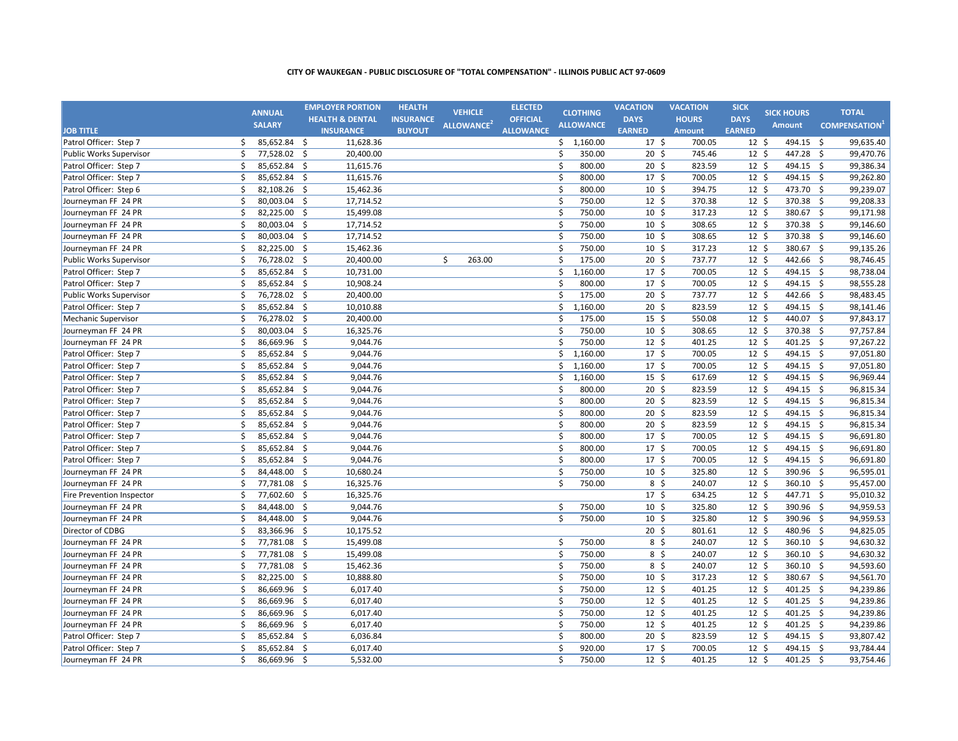|                           |    | <b>ANNUAL</b>  |                     | <b>EMPLOYER PORTION</b>    | <b>HEALTH</b>    | <b>VEHICLE</b>         | <b>ELECTED</b>   |         | <b>CLOTHING</b>  | <b>VACATION</b>  | <b>VACATION</b> | <b>SICK</b>     | <b>SICK HOURS</b> |                    | <b>TOTAL</b>        |
|---------------------------|----|----------------|---------------------|----------------------------|------------------|------------------------|------------------|---------|------------------|------------------|-----------------|-----------------|-------------------|--------------------|---------------------|
|                           |    | <b>SALARY</b>  |                     | <b>HEALTH &amp; DENTAL</b> | <b>INSURANCE</b> | ALLOWANCE <sup>2</sup> | <b>OFFICIAL</b>  |         | <b>ALLOWANCE</b> | <b>DAYS</b>      | <b>HOURS</b>    | <b>DAYS</b>     | Amount            |                    |                     |
| <b>JOB TITLE</b>          |    |                |                     | <b>INSURANCE</b>           | <b>BUYOUT</b>    |                        | <b>ALLOWANCE</b> |         |                  | <b>EARNED</b>    | <b>Amount</b>   | <b>EARNED</b>   |                   |                    | <b>COMPENSATION</b> |
| Patrol Officer: Step 7    | \$ | 85,652.84 \$   |                     | 11,628.36                  |                  |                        |                  |         | \$1,160.00       | $17 \;$ \$       | 700.05          | $12 \cdot 5$    | 494.15            | - \$               | 99,635.40           |
| Public Works Supervisor   | \$ | 77,528.02 \$   |                     | 20,400.00                  |                  |                        |                  | \$      | 350.00           | 20 <sub>5</sub>  | 745.46          | $12 \cdot 5$    | 447.28 \$         |                    | 99,470.76           |
| Patrol Officer: Step 7    | \$ | 85,652.84 \$   |                     | 11,615.76                  |                  |                        |                  | \$      | 800.00           | 20 <sub>5</sub>  | 823.59          | 12 <sup>5</sup> | 494.15 \$         |                    | 99,386.34           |
| Patrol Officer: Step 7    | \$ | $85,652.84$ \$ |                     | 11,615.76                  |                  |                        |                  | \$      | 800.00           | 17 <sup>5</sup>  | 700.05          | 12 <sup>5</sup> | 494.15 \$         |                    | 99,262.80           |
| Patrol Officer: Step 6    | \$ | 82,108.26      | $\dot{\mathsf{S}}$  | 15,462.36                  |                  |                        |                  | \$      | 800.00           | 10 <sup>5</sup>  | 394.75          | 12 <sup>5</sup> | 473.70            | $\mathsf{\hat{S}}$ | 99,239.07           |
| Journeyman FF 24 PR       | \$ | 80,003.04      | $\ddot{\mathsf{s}}$ | 17,714.52                  |                  |                        |                  | \$      | 750.00           | 12 <sup>5</sup>  | 370.38          | 12 <sup>5</sup> | 370.38            | -\$                | 99,208.33           |
| Journeyman FF 24 PR       | \$ | 82,225.00      | $\ddot{\mathsf{S}}$ | 15,499.08                  |                  |                        |                  | $\zeta$ | 750.00           | 10 <sup>5</sup>  | 317.23          | 12 <sup>5</sup> | 380.67            | \$                 | 99,171.98           |
| Journeyman FF 24 PR       | \$ | 80,003.04 \$   |                     | 17,714.52                  |                  |                        |                  | \$      | 750.00           | $10 \;$ \$       | 308.65          | $12 \;$ \$      | 370.38 \$         |                    | 99,146.60           |
| Journeyman FF 24 PR       | \$ | 80,003.04 \$   |                     | 17,714.52                  |                  |                        |                  | \$      | 750.00           | $10 \; \text{S}$ | 308.65          | 12 <sup>5</sup> | 370.38 \$         |                    | 99,146.60           |
| Journeyman FF 24 PR       | \$ | 82,225.00 \$   |                     | 15,462.36                  |                  |                        |                  | \$      | 750.00           | $10 \; \text{S}$ | 317.23          | $12 \;$ \$      | 380.67 \$         |                    | 99,135.26           |
| Public Works Supervisor   | \$ | 76,728.02 \$   |                     | 20,400.00                  |                  | \$<br>263.00           |                  | \$      | 175.00           | $20 \; \text{S}$ | 737.77          | $12 \;$ \$      | 442.66 \$         |                    | 98,746.45           |
| Patrol Officer: Step 7    | \$ | 85,652.84 \$   |                     | 10,731.00                  |                  |                        |                  | \$      | 1,160.00         | 17 <sup>5</sup>  | 700.05          | 12 <sup>5</sup> | 494.15 \$         |                    | 98,738.04           |
| Patrol Officer: Step 7    | \$ | 85,652.84 \$   |                     | 10,908.24                  |                  |                        |                  | \$      | 800.00           | 17 <sup>5</sup>  | 700.05          | $12 \;$ \$      | 494.15 \$         |                    | 98,555.28           |
| Public Works Supervisor   | \$ | 76,728.02      | -\$                 | 20,400.00                  |                  |                        |                  | \$      | 175.00           | $20 \; \text{S}$ | 737.77          | $12 \;$ \$      | 442.66 \$         |                    | 98,483.45           |
| Patrol Officer: Step 7    | \$ | 85,652.84 \$   |                     | 10,010.88                  |                  |                        |                  | \$      | 1,160.00         | $20 \; \text{S}$ | 823.59          | $12 \;$ \$      | 494.15 \$         |                    | 98,141.46           |
| Mechanic Supervisor       | \$ | 76,278.02      | -\$                 | 20,400.00                  |                  |                        |                  | \$      | 175.00           | $15 \; \text{S}$ | 550.08          | $12 \;$ \$      | 440.07 \$         |                    | 97,843.17           |
| Journeyman FF 24 PR       | \$ | 80,003.04 \$   |                     | 16,325.76                  |                  |                        |                  | \$      | 750.00           | $10 \; \text{S}$ | 308.65          | $12 \;$ \$      | 370.38 \$         |                    | 97,757.84           |
| Journeyman FF 24 PR       | \$ | 86,669.96      | $\dot{\mathsf{S}}$  | 9,044.76                   |                  |                        |                  | \$      | 750.00           | 12 <sup>5</sup>  | 401.25          | 12 <sup>5</sup> | 401.25 \$         |                    | 97,267.22           |
| Patrol Officer: Step 7    | \$ | 85,652.84 \$   |                     | 9,044.76                   |                  |                        |                  | \$      | 1,160.00         | 17 <sup>5</sup>  | 700.05          | 12 <sup>5</sup> | 494.15 \$         |                    | 97,051.80           |
| Patrol Officer: Step 7    | \$ | 85,652.84      | -\$                 | 9,044.76                   |                  |                        |                  | \$      | 1,160.00         | 17 <sup>5</sup>  | 700.05          | $12 \;$ \$      | 494.15 \$         |                    | 97,051.80           |
| Patrol Officer: Step 7    | Ś. | 85,652.84      | $\dot{\mathsf{S}}$  | 9,044.76                   |                  |                        |                  | \$      | 1,160.00         | 15 <sup>5</sup>  | 617.69          | 12 <sup>5</sup> | 494.15            | \$                 | 96,969.44           |
| Patrol Officer: Step 7    | \$ | 85,652.84 \$   |                     | 9,044.76                   |                  |                        |                  | \$      | 800.00           | 20 <sub>5</sub>  | 823.59          | 12 <sup>5</sup> | 494.15 \$         |                    | 96,815.34           |
| Patrol Officer: Step 7    | \$ | 85,652.84      | -\$                 | 9,044.76                   |                  |                        |                  | \$      | 800.00           | 20 <sub>5</sub>  | 823.59          | 12 <sup>5</sup> | 494.15 \$         |                    | 96,815.34           |
| Patrol Officer: Step 7    | \$ | 85,652.84      | -\$                 | 9,044.76                   |                  |                        |                  | \$      | 800.00           | 20 <sup>5</sup>  | 823.59          | 12 <sup>5</sup> | 494.15 \$         |                    | 96,815.34           |
| Patrol Officer: Step 7    | Ś  | 85,652.84      | $\ddot{\mathsf{S}}$ | 9,044.76                   |                  |                        |                  | \$      | 800.00           | 20 <sub>5</sub>  | 823.59          | 12 <sup>5</sup> | 494.15 \$         |                    | 96,815.34           |
| Patrol Officer: Step 7    | \$ | 85,652.84 \$   |                     | 9,044.76                   |                  |                        |                  | \$      | 800.00           | 17 <sup>5</sup>  | 700.05          | 12 <sup>5</sup> | 494.15 \$         |                    | 96,691.80           |
| Patrol Officer: Step 7    | \$ | 85,652.84      | $\dot{\mathsf{S}}$  | 9,044.76                   |                  |                        |                  | \$      | 800.00           | 17 <sup>5</sup>  | 700.05          | 12 <sup>5</sup> | 494.15 \$         |                    | 96,691.80           |
| Patrol Officer: Step 7    | \$ | 85,652.84      | $\ddot{\mathsf{s}}$ | 9,044.76                   |                  |                        |                  | \$      | 800.00           | 17 <sup>5</sup>  | 700.05          | 12 <sup>5</sup> | 494.15 \$         |                    | 96,691.80           |
| Journeyman FF 24 PR       | \$ | 84,448.00      | $\ddot{\mathsf{s}}$ | 10,680.24                  |                  |                        |                  | \$      | 750.00           | 10 <sup>5</sup>  | 325.80          | $12 \;$ \$      | 390.96 \$         |                    | 96,595.01           |
| Journeyman FF 24 PR       | \$ | 77,781.08      | \$                  | 16,325.76                  |                  |                        |                  | Ś.      | 750.00           | 8 <sup>5</sup>   | 240.07          | 12 <sup>5</sup> | 360.10            | $\mathsf{\hat{S}}$ | 95,457.00           |
| Fire Prevention Inspector | \$ | 77,602.60      | \$                  | 16,325.76                  |                  |                        |                  |         |                  | 17 <sup>5</sup>  | 634.25          | 12 <sup>5</sup> | 447.71            | -\$                | 95,010.32           |
| Journeyman FF 24 PR       | \$ | 84,448.00      | \$                  | 9,044.76                   |                  |                        |                  | \$      | 750.00           | 10 <sup>5</sup>  | 325.80          | 12 <sup>5</sup> | 390.96            | $\mathsf{\hat{S}}$ | 94,959.53           |
| Journeyman FF 24 PR       | \$ | 84,448.00 \$   |                     | 9,044.76                   |                  |                        |                  | \$      | 750.00           | $10 \; \text{S}$ | 325.80          | $12 \;$ \$      | 390.96 \$         |                    | 94,959.53           |
| Director of CDBG          | \$ | 83,366.96      | $\ddot{\mathsf{S}}$ | 10,175.52                  |                  |                        |                  |         |                  | $20 \; \text{S}$ | 801.61          | $12 \;$ \$      | 480.96 \$         |                    | 94,825.05           |
| Journeyman FF 24 PR       | \$ | 77,781.08 \$   |                     | 15,499.08                  |                  |                        |                  | \$      | 750.00           | $8\sqrt{5}$      | 240.07          | $12 \;$ \$      | 360.10 \$         |                    | 94,630.32           |
| Journeyman FF 24 PR       | \$ | 77,781.08 \$   |                     | 15,499.08                  |                  |                        |                  | \$      | 750.00           | $8\sqrt{5}$      | 240.07          | $12 \;$ \$      | 360.10 \$         |                    | 94,630.32           |
| Journeyman FF 24 PR       | \$ | 77,781.08 \$   |                     | 15,462.36                  |                  |                        |                  | \$      | 750.00           | 8 <sup>5</sup>   | 240.07          | 12 <sup>5</sup> | 360.10 \$         |                    | 94,593.60           |
| Journeyman FF 24 PR       | \$ | 82,225.00      | \$                  | 10,888.80                  |                  |                        |                  | \$      | 750.00           | $10 \; \text{S}$ | 317.23          | $12 \;$ \$      | 380.67 \$         |                    | 94,561.70           |
| Journeyman FF 24 PR       | \$ | 86,669.96      | -\$                 | 6,017.40                   |                  |                        |                  | \$      | 750.00           | $12 \;$ \$       | 401.25          | 12 <sup>5</sup> | 401.25 \$         |                    | 94,239.86           |
| Journeyman FF 24 PR       | \$ | 86,669.96      | -\$                 | 6,017.40                   |                  |                        |                  | \$      | 750.00           | $12 \;$ \$       | 401.25          | $12 \;$ \$      | 401.25 \$         |                    | 94,239.86           |
| Journeyman FF 24 PR       | \$ | 86,669.96      | -\$                 | 6,017.40                   |                  |                        |                  | \$      | 750.00           | 12 <sup>5</sup>  | 401.25          | 12 <sup>5</sup> | 401.25 \$         |                    | 94,239.86           |
| Journeyman FF 24 PR       | \$ | 86,669.96 \$   |                     | 6,017.40                   |                  |                        |                  | \$      | 750.00           | 12 <sup>5</sup>  | 401.25          | 12 <sup>5</sup> | 401.25 \$         |                    | 94,239.86           |
| Patrol Officer: Step 7    | \$ | 85,652.84      | -\$                 | 6,036.84                   |                  |                        |                  | \$      | 800.00           | 20 <sub>5</sub>  | 823.59          | 12 <sup>5</sup> | 494.15 \$         |                    | 93,807.42           |
| Patrol Officer: Step 7    | \$ | 85,652.84      | -\$                 | 6,017.40                   |                  |                        |                  | \$      | 920.00           | 17 <sup>5</sup>  | 700.05          | 12 <sup>5</sup> | 494.15 \$         |                    | 93,784.44           |
| Journeyman FF 24 PR       | Ś. | 86,669.96 \$   |                     | 5,532.00                   |                  |                        |                  | Ś.      | 750.00           | 12 <sup>5</sup>  | 401.25          | $12 \cdot 5$    | 401.25 \$         |                    | 93,754.46           |
|                           |    |                |                     |                            |                  |                        |                  |         |                  |                  |                 |                 |                   |                    |                     |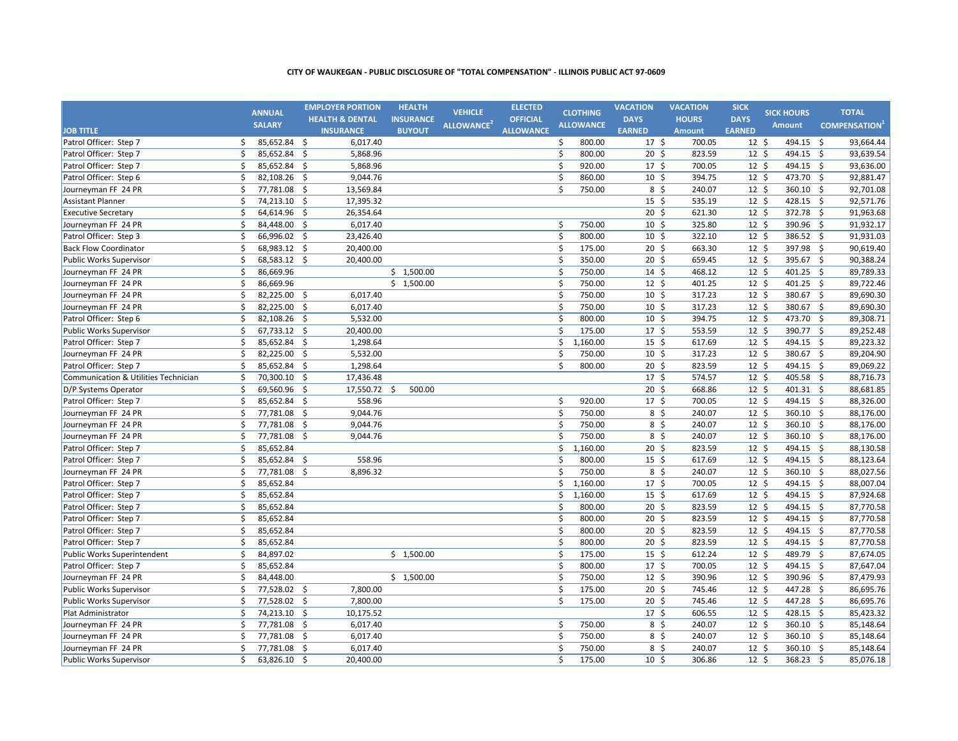|                                      |    | <b>ANNUAL</b> |                     | <b>EMPLOYER PORTION</b>    | <b>HEALTH</b>    | <b>VEHICLE</b>         | <b>ELECTED</b>   |              | <b>CLOTHING</b>  | <b>VACATION</b>  | <b>VACATION</b> | <b>SICK</b>      | <b>SICK HOURS</b> | <b>TOTAL</b>        |
|--------------------------------------|----|---------------|---------------------|----------------------------|------------------|------------------------|------------------|--------------|------------------|------------------|-----------------|------------------|-------------------|---------------------|
|                                      |    | <b>SALARY</b> |                     | <b>HEALTH &amp; DENTAL</b> | <b>INSURANCE</b> | ALLOWANCE <sup>2</sup> | <b>OFFICIAL</b>  |              | <b>ALLOWANCE</b> | <b>DAYS</b>      | <b>HOURS</b>    | <b>DAYS</b>      | <b>Amount</b>     | <b>COMPENSATION</b> |
| <b>JOB TITLE</b>                     |    |               |                     | <b>INSURANCE</b>           | <b>BUYOUT</b>    |                        | <b>ALLOWANCE</b> |              |                  | <b>EARNED</b>    | <b>Amount</b>   | <b>EARNED</b>    |                   |                     |
| Patrol Officer: Step 7               | Ś. | 85,652.84 \$  |                     | 6,017.40                   |                  |                        |                  | \$           | 800.00           | $17 \pm$         | 700.05          | $12 \; \text{S}$ | 494.15 \$         | 93,664.44           |
| Patrol Officer: Step 7               | Ś. | 85,652.84 \$  |                     | 5,868.96                   |                  |                        |                  | \$           | 800.00           | $20 \;$ \$       | 823.59          | $12 \;$ \$       | 494.15 \$         | 93,639.54           |
| Patrol Officer: Step 7               | \$ | 85,652.84 \$  |                     | 5,868.96                   |                  |                        |                  | \$           | 920.00           | 17 <sup>5</sup>  | 700.05          | $12 \div$        | 494.15 \$         | 93,636.00           |
| Patrol Officer: Step 6               | \$ | 82,108.26 \$  |                     | 9,044.76                   |                  |                        |                  | \$           | 860.00           | $10 \; \text{S}$ | 394.75          | $12 \;$ \$       | 473.70 \$         | 92,881.47           |
| Journeyman FF 24 PR                  | \$ | 77,781.08     | $\zeta$             | 13,569.84                  |                  |                        |                  | \$           | 750.00           | $8\frac{2}{3}$   | 240.07          | $12 \;$ \$       | 360.10 \$         | 92,701.08           |
| <b>Assistant Planner</b>             | \$ | 74,213.10 \$  |                     | 17,395.32                  |                  |                        |                  |              |                  | $15 \; \text{S}$ | 535.19          | $12 \;$ \$       | 428.15 \$         | 92,571.76           |
| <b>Executive Secretary</b>           | \$ | 64,614.96     | $\ddot{\mathsf{s}}$ | 26,354.64                  |                  |                        |                  |              |                  | $20 \; \text{S}$ | 621.30          | $12 \;$ \$       | 372.78 \$         | 91,963.68           |
| Journeyman FF 24 PR                  | \$ | 84,448.00 \$  |                     | 6,017.40                   |                  |                        |                  | \$           | 750.00           | $10 \; \text{S}$ | 325.80          | $12 \;$ \$       | 390.96 \$         | 91,932.17           |
| Patrol Officer: Step 3               | \$ | 66,996.02 \$  |                     | 23,426.40                  |                  |                        |                  | \$           | 800.00           | $10 \;$ \$       | 322.10          | $12 \;$ \$       | 386.52 \$         | 91,931.03           |
| <b>Back Flow Coordinator</b>         | \$ | 68,983.12 \$  |                     | 20,400.00                  |                  |                        |                  | \$           | 175.00           | $20 \; \text{S}$ | 663.30          | $12 \;$ \$       | 397.98 \$         | 90,619.40           |
| Public Works Supervisor              | \$ | 68,583.12 \$  |                     | 20,400.00                  |                  |                        |                  | \$           | 350.00           | $20 \; \text{S}$ | 659.45          | $12 \; \text{S}$ | 395.67 \$         | 90,388.24           |
| Journeyman FF 24 PR                  | \$ | 86,669.96     |                     |                            | \$1,500.00       |                        |                  | $\mathsf{S}$ | 750.00           | $14 \; \text{S}$ | 468.12          | $12 \; \text{S}$ | 401.25            | \$<br>89,789.33     |
| Journeyman FF 24 PR                  | \$ | 86,669.96     |                     |                            | \$1,500.00       |                        |                  | \$           | 750.00           | $12 \;$ \$       | 401.25          | $12 \;$ \$       | 401.25 \$         | 89,722.46           |
| Journeyman FF 24 PR                  | \$ | 82,225.00     | \$                  | 6,017.40                   |                  |                        |                  | \$           | 750.00           | $10 \; \text{S}$ | 317.23          | $12 \;$ \$       | 380.67 \$         | 89,690.30           |
| Journeyman FF 24 PR                  | \$ | 82,225.00     | $\ddot{\mathsf{S}}$ | 6,017.40                   |                  |                        |                  | \$           | 750.00           | $10 \; \text{S}$ | 317.23          | $12 \;$ \$       | 380.67 \$         | 89,690.30           |
| Patrol Officer: Step 6               | \$ | 82,108.26 \$  |                     | 5,532.00                   |                  |                        |                  | \$           | 800.00           | $10 \; \text{S}$ | 394.75          | $12 \; \text{S}$ | 473.70 \$         | 89,308.71           |
| Public Works Supervisor              | \$ | 67,733.12 \$  |                     | 20,400.00                  |                  |                        |                  | \$           | 175.00           | 17 <sup>5</sup>  | 553.59          | $12 \;$ \$       | 390.77 \$         | 89,252.48           |
| Patrol Officer: Step 7               | \$ | 85,652.84 \$  |                     | 1,298.64                   |                  |                        |                  | \$           | 1,160.00         | $15 \; \text{S}$ | 617.69          | $12 \;$ \$       | 494.15 \$         | 89,223.32           |
| Journeyman FF 24 PR                  | \$ | 82,225.00     | $\ddot{\mathsf{s}}$ | 5,532.00                   |                  |                        |                  | \$           | 750.00           | $10 \; \text{S}$ | 317.23          | $12 \;$ \$       | 380.67 \$         | 89,204.90           |
| Patrol Officer: Step 7               | \$ | 85,652.84 \$  |                     | 1,298.64                   |                  |                        |                  | Ś.           | 800.00           | $20 \; \text{S}$ | 823.59          | $12 \; \text{S}$ | 494.15 \$         | 89,069.22           |
|                                      | \$ | 70,300.10     | $\mathsf{S}$        | 17,436.48                  |                  |                        |                  |              |                  | 17 <sup>5</sup>  | 574.57          | $12\overline{5}$ | 405.58 \$         | 88,716.73           |
| Communication & Utilities Technician | \$ |               |                     |                            |                  |                        |                  |              |                  |                  |                 |                  |                   |                     |
| D/P Systems Operator                 |    | 69,560.96 \$  |                     | 17,550.72 \$               | 500.00           |                        |                  |              |                  | $20 \; \text{S}$ | 668.86          | $12 \;$ \$       | 401.31 \$         | 88,681.85           |
| Patrol Officer: Step 7               | \$ | 85,652.84     | $\zeta$             | 558.96                     |                  |                        |                  | \$           | 920.00           | 17 <sup>5</sup>  | 700.05          | $12 \;$ \$       | 494.15 \$         | 88,326.00           |
| Journeyman FF 24 PR                  | \$ | 77,781.08 \$  |                     | 9,044.76                   |                  |                        |                  | $\mathsf{S}$ | 750.00           | $8\sqrt{5}$      | 240.07          | $12 \;$ \$       | 360.10 \$         | 88,176.00           |
| Journeyman FF 24 PR                  | \$ | 77,781.08     | $\ddot{\mathsf{s}}$ | 9,044.76                   |                  |                        |                  | \$           | 750.00           | $8\sqrt{5}$      | 240.07          | $12 \; \text{S}$ | 360.10 \$         | 88,176.00           |
| Journeyman FF 24 PR                  | \$ | 77,781.08 \$  |                     | 9,044.76                   |                  |                        |                  | \$           | 750.00           | $8\sqrt{5}$      | 240.07          | $12 \; \text{S}$ | 360.10 \$         | 88,176.00           |
| Patrol Officer: Step 7               | \$ | 85,652.84     |                     |                            |                  |                        |                  | \$           | 1,160.00         | $20 \; \text{S}$ | 823.59          | $12 \;$ \$       | 494.15 \$         | 88,130.58           |
| Patrol Officer: Step 7               | \$ | 85,652.84 \$  |                     | 558.96                     |                  |                        |                  | \$           | 800.00           | $15 \; \text{S}$ | 617.69          | 12 <sup>5</sup>  | 494.15 \$         | 88,123.64           |
| Journeyman FF 24 PR                  | \$ | 77,781.08 \$  |                     | 8,896.32                   |                  |                        |                  | \$           | 750.00           | 8 <sup>5</sup>   | 240.07          | $12 \; \text{S}$ | 360.10 \$         | 88,027.56           |
| Patrol Officer: Step 7               | \$ | 85,652.84     |                     |                            |                  |                        |                  | Ś.           | 1,160.00         | $17 \frac{2}{7}$ | 700.05          | $12 \; \text{S}$ | 494.15 \$         | 88,007.04           |
| Patrol Officer: Step 7               | \$ | 85,652.84     |                     |                            |                  |                        |                  | \$           | 1,160.00         | $15 \;$ \$       | 617.69          | $12 \; \text{S}$ | 494.15 \$         | 87,924.68           |
| Patrol Officer: Step 7               | \$ | 85,652.84     |                     |                            |                  |                        |                  | \$           | 800.00           | 20 <sub>5</sub>  | 823.59          | $12 \text{ }$    | 494.15 \$         | 87,770.58           |
| Patrol Officer: Step 7               | \$ | 85,652.84     |                     |                            |                  |                        |                  | \$           | 800.00           | 20 <sub>5</sub>  | 823.59          | $12 \;$ \$       | 494.15 \$         | 87,770.58           |
| Patrol Officer: Step 7               | \$ | 85,652.84     |                     |                            |                  |                        |                  | \$           | 800.00           | $20 \; \text{S}$ | 823.59          | $12 \; \text{S}$ | 494.15 \$         | 87,770.58           |
| Patrol Officer: Step 7               | \$ | 85,652.84     |                     |                            |                  |                        |                  | \$           | 800.00           | $20 \frac{2}{5}$ | 823.59          | $12 \; \text{S}$ | 494.15 \$         | 87,770.58           |
| Public Works Superintendent          | \$ | 84,897.02     |                     |                            | \$1,500.00       |                        |                  | \$           | 175.00           | $15 \; \text{S}$ | 612.24          | $12 \; \text{S}$ | 489.79 \$         | 87,674.05           |
| Patrol Officer: Step 7               | \$ | 85,652.84     |                     |                            |                  |                        |                  | $\mathsf{S}$ | 800.00           | 17 <sup>5</sup>  | 700.05          | $12 \; \text{S}$ | 494.15 \$         | 87,647.04           |
| Journeyman FF 24 PR                  | \$ | 84,448.00     |                     |                            | \$1,500.00       |                        |                  | $\mathsf{S}$ | 750.00           | $12 \; \text{S}$ | 390.96          | $12 \; \text{S}$ | 390.96 \$         | 87,479.93           |
| Public Works Supervisor              | \$ | 77,528.02     | -\$                 | 7,800.00                   |                  |                        |                  | $\zeta$      | 175.00           | 20 <sub>5</sub>  | 745.46          | $12 \text{ }$    | 447.28 \$         | 86,695.76           |
| <b>Public Works Supervisor</b>       | \$ | 77,528.02     | \$                  | 7,800.00                   |                  |                        |                  | $\mathsf{S}$ | 175.00           | 20 <sub>5</sub>  | 745.46          | 12 <sup>5</sup>  | 447.28 \$         | 86,695.76           |
| Plat Administrator                   | \$ | 74,213.10     | \$                  | 10,175.52                  |                  |                        |                  |              |                  | 17 <sup>5</sup>  | 606.55          | $12 \cdot 5$     | 428.15 \$         | 85,423.32           |
| Journeyman FF 24 PR                  | \$ | 77,781.08 \$  |                     | 6,017.40                   |                  |                        |                  | \$           | 750.00           | $8\frac{2}{3}$   | 240.07          | $12 \;$ \$       | 360.10 \$         | 85,148.64           |
| Journeyman FF 24 PR                  | \$ | 77,781.08     | $\ddot{\varsigma}$  | 6,017.40                   |                  |                        |                  | \$           | 750.00           | $8\frac{2}{3}$   | 240.07          | $12 \text{ }$    | 360.10 \$         | 85,148.64           |
| Journeyman FF 24 PR                  | \$ | 77,781.08 \$  |                     | 6,017.40                   |                  |                        |                  | \$           | 750.00           | 8 <sup>5</sup>   | 240.07          | 12 <sup>5</sup>  | 360.10 \$         | 85,148.64           |
| Public Works Supervisor              | \$ | 63,826.10 \$  |                     | 20,400.00                  |                  |                        |                  | Ŝ.           | 175.00           | 10 <sup>5</sup>  | 306.86          | $12 \text{ }$    | 368.23 \$         | 85,076.18           |
|                                      |    |               |                     |                            |                  |                        |                  |              |                  |                  |                 |                  |                   |                     |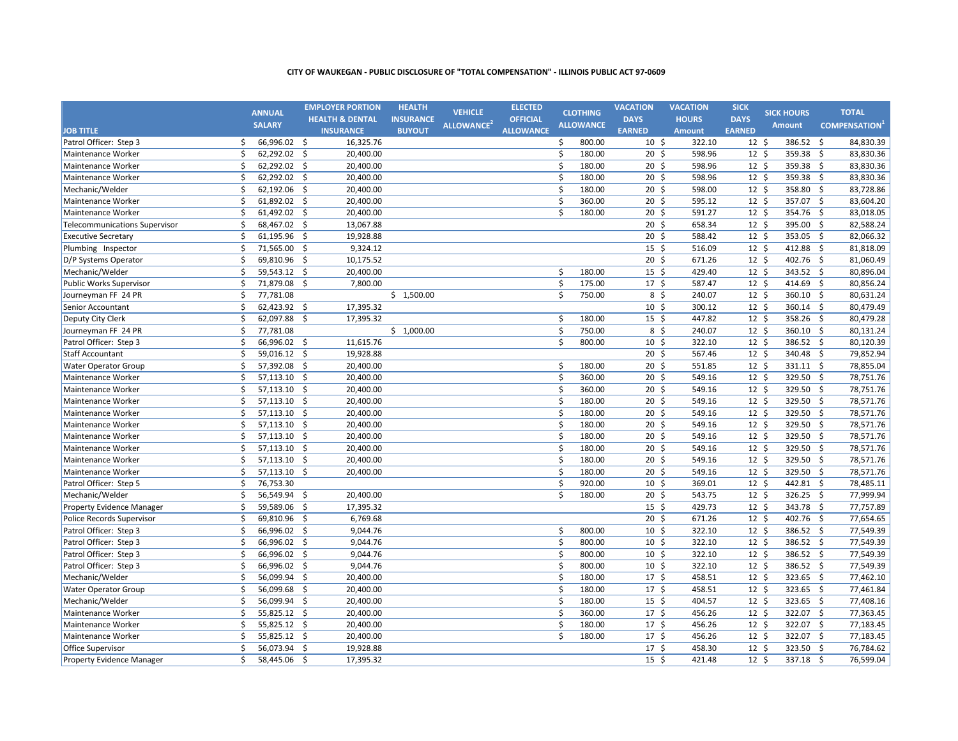|                                      |    | <b>ANNUAL</b> |                     | <b>EMPLOYER PORTION</b>    | <b>HEALTH</b>    | <b>VEHICLE</b>         | <b>ELECTED</b>   |                      | <b>CLOTHING</b>  | <b>VACATION</b>  | <b>VACATION</b> | <b>SICK</b>     | <b>SICK HOURS</b> |                    | <b>TOTAL</b>        |
|--------------------------------------|----|---------------|---------------------|----------------------------|------------------|------------------------|------------------|----------------------|------------------|------------------|-----------------|-----------------|-------------------|--------------------|---------------------|
|                                      |    | <b>SALARY</b> |                     | <b>HEALTH &amp; DENTAL</b> | <b>INSURANCE</b> | ALLOWANCE <sup>2</sup> | <b>OFFICIAL</b>  |                      | <b>ALLOWANCE</b> | <b>DAYS</b>      | <b>HOURS</b>    | <b>DAYS</b>     | <b>Amount</b>     |                    | <b>COMPENSATION</b> |
| <b>JOB TITLE</b>                     |    |               |                     | <b>INSURANCE</b>           | <b>BUYOUT</b>    |                        | <b>ALLOWANCE</b> |                      |                  | <b>EARNED</b>    | <b>Amount</b>   | <b>EARNED</b>   |                   |                    |                     |
| Patrol Officer: Step 3               | Ŝ. | 66,996.02 \$  |                     | 16,325.76                  |                  |                        |                  | \$                   | 800.00           | $10 \; \text{S}$ | 322.10          | $12 \;$ \$      | 386.52 \$         |                    | 84,830.39           |
| Maintenance Worker                   | \$ | 62,292.02 \$  |                     | 20,400.00                  |                  |                        |                  | \$                   | 180.00           | $20 \; \text{S}$ | 598.96          | $12 \;$ \$      | 359.38 \$         |                    | 83,830.36           |
| Maintenance Worker                   | \$ | 62,292.02 \$  |                     | 20,400.00                  |                  |                        |                  | \$                   | 180.00           | $20 \;$ \$       | 598.96          | $12 \;$ \$      | 359.38            | $\overline{\xi}$   | 83,830.36           |
| Maintenance Worker                   | \$ | 62,292.02 \$  |                     | 20,400.00                  |                  |                        |                  | \$                   | 180.00           | $20 \;$ \$       | 598.96          | $12 \;$ \$      | 359.38 \$         |                    | 83,830.36           |
| Mechanic/Welder                      | \$ | 62,192.06     | $\ddot{\mathsf{S}}$ | 20,400.00                  |                  |                        |                  | \$                   | 180.00           | $20 \;$ \$       | 598.00          | $12 \;$ \$      | 358.80            | \$                 | 83,728.86           |
| Maintenance Worker                   | \$ | 61,892.02 \$  |                     | 20,400.00                  |                  |                        |                  | \$                   | 360.00           | $20 \; \text{S}$ | 595.12          | $12 \;$ \$      | 357.07 \$         |                    | 83,604.20           |
| Maintenance Worker                   | \$ | 61,492.02     | $\ddot{\mathsf{s}}$ | 20,400.00                  |                  |                        |                  | Ś                    | 180.00           | $20 \; \text{S}$ | 591.27          | $12 \;$ \$      | 354.76 \$         |                    | 83,018.05           |
| <b>Telecommunications Supervisor</b> | \$ | 68,467.02 \$  |                     | 13,067.88                  |                  |                        |                  |                      |                  | $20 \;$ \$       | 658.34          | $12 \;$ \$      | 395.00            | \$                 | 82,588.24           |
| <b>Executive Secretary</b>           | \$ | 61,195.96     | -\$                 | 19,928.88                  |                  |                        |                  |                      |                  | $20 \;$ \$       | 588.42          | $12 \;$ \$      | 353.05 \$         |                    | 82,066.32           |
| Plumbing Inspector                   | \$ | 71,565.00 \$  |                     | 9,324.12                   |                  |                        |                  |                      |                  | $15 \;$ \$       | 516.09          | $12 \;$ \$      | 412.88 \$         |                    | 81,818.09           |
| D/P Systems Operator                 | \$ | 69,810.96 \$  |                     | 10,175.52                  |                  |                        |                  |                      |                  | $20 \; \text{S}$ | 671.26          | $12 \;$ \$      | 402.76 \$         |                    | 81,060.49           |
| Mechanic/Welder                      | \$ | 59,543.12     | $\ddot{\mathsf{S}}$ | 20,400.00                  |                  |                        |                  | \$                   | 180.00           | $15 \;$ \$       | 429.40          | $12 \;$ \$      | 343.52            | $\zeta$            | 80,896.04           |
| Public Works Supervisor              | \$ | 71,879.08 \$  |                     | 7,800.00                   |                  |                        |                  | \$                   | 175.00           | 17 <sup>5</sup>  | 587.47          | $12 \;$ \$      | 414.69            | $\zeta$            | 80,856.24           |
| Journeyman FF 24 PR                  | \$ | 77,781.08     |                     |                            | \$1,500.00       |                        |                  | \$                   | 750.00           | 8 \$             | 240.07          | $12 \;$ \$      | 360.10            | $\mathsf{\hat{S}}$ | 80,631.24           |
| Senior Accountant                    | \$ | 62,423.92     | -\$                 | 17,395.32                  |                  |                        |                  |                      |                  | 10 <sup>5</sup>  | 300.12          | $12 \;$ \$      | 360.14            | -\$                | 80,479.49           |
| Deputy City Clerk                    | \$ | 62,097.88     | $\ddot{\varsigma}$  | 17,395.32                  |                  |                        |                  | \$                   | 180.00           | $15 \;$ \$       | 447.82          | 12 <sup>5</sup> | 358.26            | \$                 | 80,479.28           |
| Journeyman FF 24 PR                  | \$ | 77,781.08     |                     |                            | \$1,000.00       |                        |                  | \$                   | 750.00           | $8\frac{2}{3}$   | 240.07          | $12 \;$ \$      | 360.10            | - \$               | 80,131.24           |
| Patrol Officer: Step 3               | \$ | 66,996.02 \$  |                     | 11,615.76                  |                  |                        |                  | \$                   | 800.00           | $10 \;$ \$       | 322.10          | 12 <sup>5</sup> | 386.52 \$         |                    | 80,120.39           |
| <b>Staff Accountant</b>              | \$ | 59,016.12 \$  |                     | 19,928.88                  |                  |                        |                  |                      |                  | 20 <sub>5</sub>  | 567.46          | 12 <sup>5</sup> | 340.48 \$         |                    | 79,852.94           |
| <b>Water Operator Group</b>          | \$ | 57,392.08 \$  |                     | 20,400.00                  |                  |                        |                  | \$                   | 180.00           | 20 <sub>5</sub>  | 551.85          | 12 <sup>5</sup> | 331.11 \$         |                    | 78,855.04           |
| Maintenance Worker                   | \$ | 57,113.10     | $\dot{\mathsf{S}}$  | 20,400.00                  |                  |                        |                  | $\boldsymbol{\zeta}$ | 360.00           | 20 <sub>5</sub>  | 549.16          | 12 <sup>5</sup> | 329.50            | S,                 | 78,751.76           |
| Maintenance Worker                   | \$ | 57,113.10 \$  |                     | 20,400.00                  |                  |                        |                  | \$                   | 360.00           | $20 \;$ \$       | 549.16          | $12 \cdot 5$    | 329.50 \$         |                    | 78,751.76           |
| Maintenance Worker                   | \$ | 57,113.10     | $\dot{\mathsf{S}}$  | 20,400.00                  |                  |                        |                  | \$                   | 180.00           | 20 <sub>5</sub>  | 549.16          | $12 \cdot 5$    | 329.50            | S,                 | 78,571.76           |
| Maintenance Worker                   | \$ | 57,113.10 \$  |                     | 20,400.00                  |                  |                        |                  | \$                   | 180.00           | $20 \; \text{S}$ | 549.16          | 12 <sup>5</sup> | 329.50 \$         |                    | 78,571.76           |
| Maintenance Worker                   | \$ | 57,113.10 \$  |                     | 20,400.00                  |                  |                        |                  | \$                   | 180.00           | 20 <sub>5</sub>  | 549.16          | 12 <sup>5</sup> | $329.50$ \$       |                    | 78,571.76           |
| Maintenance Worker                   | \$ | 57,113.10 \$  |                     | 20,400.00                  |                  |                        |                  | \$                   | 180.00           | 20 <sub>5</sub>  | 549.16          | 12 <sup>5</sup> | 329.50 \$         |                    | 78,571.76           |
| Maintenance Worker                   | \$ | 57,113.10     | - \$                | 20,400.00                  |                  |                        |                  | \$                   | 180.00           | 20 <sub>5</sub>  | 549.16          | 12 <sup>5</sup> | 329.50 \$         |                    | 78,571.76           |
| Maintenance Worker                   | \$ | 57,113.10 \$  |                     | 20,400.00                  |                  |                        |                  | \$                   | 180.00           | 20 <sub>5</sub>  | 549.16          | 12 <sup>5</sup> | 329.50 \$         |                    | 78,571.76           |
| Maintenance Worker                   | \$ | 57,113.10 \$  |                     | 20,400.00                  |                  |                        |                  | \$                   | 180.00           | 20 <sub>5</sub>  | 549.16          | 12 <sup>5</sup> | 329.50 \$         |                    | 78,571.76           |
| Patrol Officer: Step 5               | \$ | 76,753.30     |                     |                            |                  |                        |                  | \$                   | 920.00           | 10 <sup>5</sup>  | 369.01          | 12 <sup>5</sup> | 442.81            | $\mathsf{\hat{S}}$ | 78,485.11           |
| Mechanic/Welder                      | \$ | 56,549.94     | $\ddot{\mathsf{S}}$ | 20,400.00                  |                  |                        |                  | \$                   | 180.00           | $20 \; \text{S}$ | 543.75          | 12 <sup>5</sup> | 326.25            | - \$               | 77,999.94           |
| Property Evidence Manager            | \$ | 59,589.06     | $\mathsf{\hat{S}}$  | 17,395.32                  |                  |                        |                  |                      |                  | 15 <sup>5</sup>  | 429.73          | 12 <sup>5</sup> | 343.78            | $\mathsf{\hat{S}}$ | 77,757.89           |
| Police Records Supervisor            | \$ | 69,810.96 \$  |                     | 6,769.68                   |                  |                        |                  |                      |                  | 20 <sub>5</sub>  | 671.26          | $12 \;$ \$      | 402.76 \$         |                    | 77,654.65           |
| Patrol Officer: Step 3               | \$ | 66,996.02 \$  |                     | 9,044.76                   |                  |                        |                  | \$                   | 800.00           | $10 \;$ \$       | 322.10          | $12 \;$ \$      | 386.52 \$         |                    | 77,549.39           |
| Patrol Officer: Step 3               | \$ | 66,996.02 \$  |                     | 9,044.76                   |                  |                        |                  | $\boldsymbol{\zeta}$ | 800.00           | $10 \;$ \$       | 322.10          | $12 \;$ \$      | 386.52 \$         |                    | 77,549.39           |
| Patrol Officer: Step 3               | \$ | 66,996.02 \$  |                     | 9,044.76                   |                  |                        |                  | \$                   | 800.00           | 10 <sup>5</sup>  | 322.10          | 12 <sup>5</sup> | 386.52 \$         |                    | 77,549.39           |
| Patrol Officer: Step 3               | \$ | 66,996.02 \$  |                     | 9,044.76                   |                  |                        |                  | \$                   | 800.00           | 10 <sup>5</sup>  | 322.10          | 12 <sup>5</sup> | 386.52 \$         |                    | 77,549.39           |
| Mechanic/Welder                      | \$ | 56,099.94 \$  |                     | 20,400.00                  |                  |                        |                  | \$                   | 180.00           | 17 <sup>5</sup>  | 458.51          | 12 <sup>5</sup> | 323.65 \$         |                    | 77,462.10           |
| <b>Water Operator Group</b>          | \$ | 56,099.68     | \$                  | 20,400.00                  |                  |                        |                  | $\boldsymbol{\zeta}$ | 180.00           | 17 <sup>5</sup>  | 458.51          | 12 <sup>5</sup> | 323.65            | - \$               | 77,461.84           |
| Mechanic/Welder                      | \$ | 56,099.94     | Ŝ.                  | 20,400.00                  |                  |                        |                  | \$                   | 180.00           | 15 <sup>5</sup>  | 404.57          | 12 <sup>5</sup> | 323.65 \$         |                    | 77,408.16           |
| Maintenance Worker                   | \$ | 55,825.12     | -\$                 | 20,400.00                  |                  |                        |                  | \$                   | 360.00           | 17 <sup>5</sup>  | 456.26          | 12 <sup>5</sup> | 322.07            | -\$                | 77,363.45           |
| Maintenance Worker                   | \$ | 55,825.12 \$  |                     | 20,400.00                  |                  |                        |                  | \$                   | 180.00           | 17 <sup>5</sup>  | 456.26          | 12 <sup>5</sup> | 322.07 \$         |                    | 77,183.45           |
| Maintenance Worker                   | \$ | 55,825.12 \$  |                     | 20,400.00                  |                  |                        |                  | Ś.                   | 180.00           | $17 \frac{2}{7}$ | 456.26          | 12 <sup>5</sup> | 322.07 \$         |                    | 77,183.45           |
| Office Supervisor                    | \$ | 56,073.94 \$  |                     | 19,928.88                  |                  |                        |                  |                      |                  | 17 <sup>5</sup>  | 458.30          | 12 <sup>5</sup> | 323.50 \$         |                    | 76,784.62           |
| Property Evidence Manager            | Ś. | 58,445.06 \$  |                     | 17,395.32                  |                  |                        |                  |                      |                  | $15 \;$ \$       | 421.48          | 12 <sup>5</sup> | 337.18 \$         |                    | 76,599.04           |
|                                      |    |               |                     |                            |                  |                        |                  |                      |                  |                  |                 |                 |                   |                    |                     |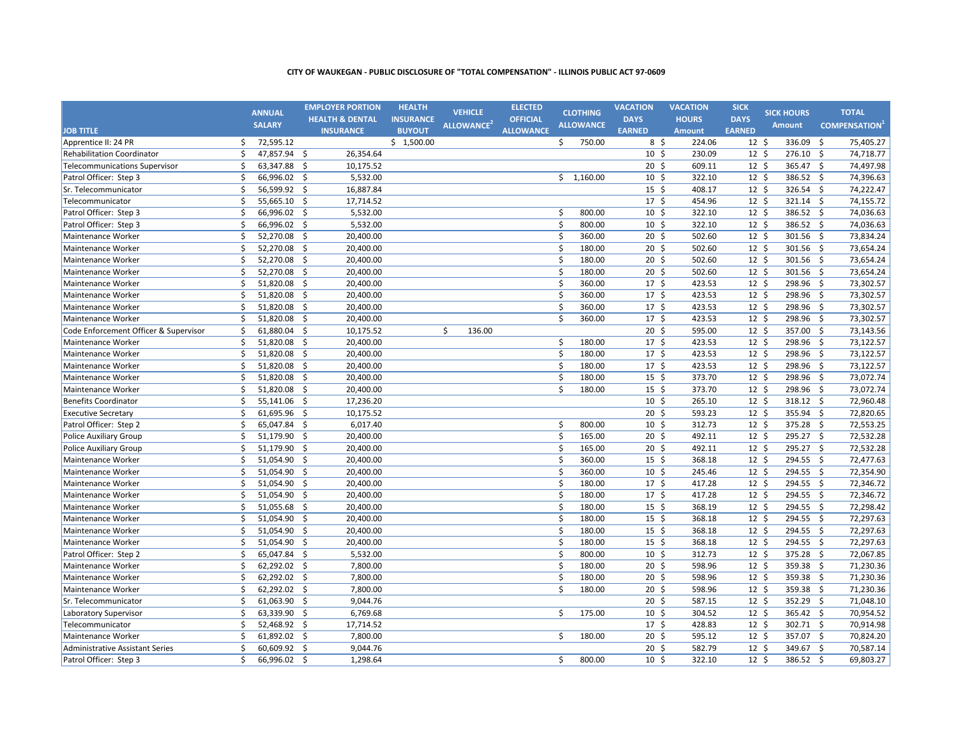|                                       |    | <b>ANNUAL</b> | <b>EMPLOYER PORTION</b>          | <b>HEALTH</b>    | <b>VEHICLE</b>         | <b>ELECTED</b>   |                    | <b>CLOTHING</b>  | <b>VACATION</b>  | <b>VACATION</b> | <b>SICK</b>      | <b>SICK HOURS</b> |                     | <b>TOTAL</b>        |
|---------------------------------------|----|---------------|----------------------------------|------------------|------------------------|------------------|--------------------|------------------|------------------|-----------------|------------------|-------------------|---------------------|---------------------|
|                                       |    | <b>SALARY</b> | <b>HEALTH &amp; DENTAL</b>       | <b>INSURANCE</b> |                        | <b>OFFICIAL</b>  |                    | <b>ALLOWANCE</b> | <b>DAYS</b>      | <b>HOURS</b>    | <b>DAYS</b>      | <b>Amount</b>     |                     | <b>COMPENSATION</b> |
| <b>JOB TITLE</b>                      |    |               | <b>INSURANCE</b>                 | <b>BUYOUT</b>    | ALLOWANCE <sup>2</sup> | <b>ALLOWANCE</b> |                    |                  | <b>EARNED</b>    | <b>Amount</b>   | <b>EARNED</b>    |                   |                     |                     |
| Apprentice II: 24 PR                  | \$ | 72,595.12     |                                  | \$1,500.00       |                        |                  | $\mathsf{S}$       | 750.00           | $8\frac{2}{3}$   | 224.06          | $12 \text{ }$    | 336.09            | -\$                 | 75,405.27           |
| <b>Rehabilitation Coordinator</b>     | \$ | 47,857.94 \$  | 26,354.64                        |                  |                        |                  |                    |                  | 10 <sup>5</sup>  | 230.09          | $12 \; \text{S}$ | 276.10 \$         |                     | 74,718.77           |
| <b>Telecommunications Supervisor</b>  | \$ | 63,347.88     | -\$<br>10,175.52                 |                  |                        |                  |                    |                  | 20 <sub>5</sub>  | 609.11          | 12 <sup>5</sup>  | 365.47            | $\ddot{\mathsf{s}}$ | 74,497.98           |
| Patrol Officer: Step 3                | \$ | 66,996.02 \$  | 5,532.00                         |                  |                        |                  |                    | \$1,160.00       | $10 \;$ \$       | 322.10          | 12 <sup>5</sup>  | 386.52 \$         |                     | 74,396.63           |
| Sr. Telecommunicator                  | \$ | 56,599.92     | $\ddot{\mathsf{S}}$<br>16,887.84 |                  |                        |                  |                    |                  | 15 <sup>5</sup>  | 408.17          | 12 <sup>5</sup>  | 326.54            | $\mathsf{\hat{S}}$  | 74,222.47           |
| Telecommunicator                      | \$ | 55,665.10 \$  | 17,714.52                        |                  |                        |                  |                    |                  | 17 <sup>5</sup>  | 454.96          | $12 \;$ \$       | 321.14 \$         |                     | 74,155.72           |
| Patrol Officer: Step 3                | \$ | 66,996.02 \$  | 5,532.00                         |                  |                        |                  | \$                 | 800.00           | 10 <sup>5</sup>  | 322.10          | 12 <sup>5</sup>  | 386.52 \$         |                     | 74,036.63           |
| Patrol Officer: Step 3                | \$ | 66,996.02 \$  | 5,532.00                         |                  |                        |                  | $\mathsf{\hat{S}}$ | 800.00           | 10 <sup>5</sup>  | 322.10          | 12 <sup>5</sup>  | 386.52 \$         |                     | 74,036.63           |
| Maintenance Worker                    | \$ | 52,270.08 \$  | 20,400.00                        |                  |                        |                  | $\mathsf{\hat{S}}$ | 360.00           | 20 <sub>5</sub>  | 502.60          | 12 <sup>5</sup>  | 301.56 \$         |                     | 73,834.24           |
| Maintenance Worker                    | \$ | 52,270.08 \$  | 20,400.00                        |                  |                        |                  | Ŝ.                 | 180.00           | 20 <sub>5</sub>  | 502.60          | 12 <sup>5</sup>  | 301.56 \$         |                     | 73,654.24           |
| Maintenance Worker                    | \$ | 52,270.08 \$  | 20,400.00                        |                  |                        |                  | Ŝ.                 | 180.00           | 20 <sub>5</sub>  | 502.60          | 12 <sup>5</sup>  | 301.56 \$         |                     | 73,654.24           |
| Maintenance Worker                    | \$ | 52,270.08     | \$<br>20,400.00                  |                  |                        |                  | $\mathsf{\hat{S}}$ | 180.00           | 20 <sub>5</sub>  | 502.60          | 12 <sup>5</sup>  | 301.56            | -\$                 | 73,654.24           |
| Maintenance Worker                    | \$ | 51,820.08     | 20,400.00<br>-\$                 |                  |                        |                  | $\mathsf{\hat{S}}$ | 360.00           | 17 <sup>5</sup>  | 423.53          | 12 <sup>5</sup>  | 298.96            | - \$                | 73,302.57           |
| Maintenance Worker                    | \$ | 51,820.08     | \$<br>20,400.00                  |                  |                        |                  | Ŝ.                 | 360.00           | 17 <sup>5</sup>  | 423.53          | 12 <sup>5</sup>  | 298.96            | Ŝ.                  | 73,302.57           |
| Maintenance Worker                    | \$ | 51,820.08     | -\$<br>20,400.00                 |                  |                        |                  | $\mathsf{\hat{S}}$ | 360.00           | 17 <sup>5</sup>  | 423.53          | 12 <sup>5</sup>  | 298.96 \$         |                     | 73,302.57           |
| Maintenance Worker                    | \$ | 51,820.08     | $\ddot{\varsigma}$<br>20,400.00  |                  |                        |                  | \$                 | 360.00           | $17 \frac{2}{7}$ | 423.53          | $12 \;$ \$       | 298.96 \$         |                     | 73,302.57           |
| Code Enforcement Officer & Supervisor | \$ | 61,880.04 \$  | 10,175.52                        |                  | \$<br>136.00           |                  |                    |                  | $20 \;$ \$       | 595.00          | $12 \;$ \$       | 357.00 \$         |                     | 73,143.56           |
| Maintenance Worker                    | \$ | 51,820.08     | $\ddot{\varsigma}$<br>20,400.00  |                  |                        |                  | \$                 | 180.00           | $17 \;$ \$       | 423.53          | $12 \;$ \$       | 298.96 \$         |                     | 73,122.57           |
| Maintenance Worker                    | \$ | 51,820.08 \$  | 20,400.00                        |                  |                        |                  | $\mathsf{\hat{S}}$ | 180.00           | 17 <sup>5</sup>  | 423.53          | 12 <sup>5</sup>  | 298.96 \$         |                     | 73,122.57           |
| Maintenance Worker                    | \$ | 51,820.08 \$  | 20,400.00                        |                  |                        |                  | \$                 | 180.00           | $17 \frac{2}{7}$ | 423.53          | $12 \;$ \$       | 298.96 \$         |                     | 73,122.57           |
| Maintenance Worker                    | \$ | 51,820.08     | $\dot{\mathsf{S}}$<br>20,400.00  |                  |                        |                  | $\zeta$            | 180.00           | 15 <sup>5</sup>  | 373.70          | 12 <sup>5</sup>  | 298.96 \$         |                     | 73,072.74           |
| Maintenance Worker                    | \$ | 51,820.08 \$  | 20,400.00                        |                  |                        |                  | \$                 | 180.00           | $15 \; \text{S}$ | 373.70          | 12 <sup>5</sup>  | 298.96 \$         |                     | 73,072.74           |
| <b>Benefits Coordinator</b>           | \$ | 55,141.06     | $\zeta$<br>17,236.20             |                  |                        |                  |                    |                  | 10 <sup>5</sup>  | 265.10          | 12 <sup>5</sup>  | 318.12 \$         |                     | 72,960.48           |
| <b>Executive Secretary</b>            | \$ | 61,695.96 \$  | 10,175.52                        |                  |                        |                  |                    |                  | 20 <sub>5</sub>  | 593.23          | 12 <sup>5</sup>  | 355.94 \$         |                     | 72,820.65           |
| Patrol Officer: Step 2                | \$ | 65,047.84 \$  | 6,017.40                         |                  |                        |                  | \$                 | 800.00           | 10 <sup>5</sup>  | 312.73          | 12 <sup>5</sup>  | 375.28 \$         |                     | 72,553.25           |
| <b>Police Auxiliary Group</b>         | \$ | 51,179.90 \$  | 20,400.00                        |                  |                        |                  | $\mathsf{\hat{S}}$ | 165.00           | 20 <sub>5</sub>  | 492.11          | 12 <sup>5</sup>  | 295.27 \$         |                     | 72,532.28           |
| <b>Police Auxiliary Group</b>         | \$ | 51,179.90     | -\$<br>20,400.00                 |                  |                        |                  | \$                 | 165.00           | 20 <sub>5</sub>  | 492.11          | 12 <sup>5</sup>  | 295.27 \$         |                     | 72,532.28           |
| Maintenance Worker                    | \$ | 51,054.90 \$  | 20,400.00                        |                  |                        |                  | \$                 | 360.00           | 15 <sup>5</sup>  | 368.18          | 12 <sup>5</sup>  | 294.55 \$         |                     | 72,477.63           |
| Maintenance Worker                    | \$ | 51,054.90 \$  | 20,400.00                        |                  |                        |                  | \$                 | 360.00           | 10 <sup>5</sup>  | 245.46          | 12 <sup>5</sup>  | 294.55 \$         |                     | 72,354.90           |
| Maintenance Worker                    | Ś. | 51,054.90     | \$<br>20,400.00                  |                  |                        |                  | Ś.                 | 180.00           | 17 <sup>5</sup>  | 417.28          | 12 <sup>5</sup>  | 294.55            | - \$                | 72,346.72           |
| Maintenance Worker                    | \$ | 51,054.90     | 20,400.00<br>-\$                 |                  |                        |                  | \$                 | 180.00           | 17 <sup>5</sup>  | 417.28          | 12 <sup>5</sup>  | 294.55 \$         |                     | 72,346.72           |
| Maintenance Worker                    | \$ | 51,055.68     | \$<br>20,400.00                  |                  |                        |                  | Ŝ.                 | 180.00           | $15 \;$ \$       | 368.19          | 12 <sup>5</sup>  | 294.55            | - \$                | 72,298.42           |
| Maintenance Worker                    | \$ | 51,054.90 \$  | 20,400.00                        |                  |                        |                  | \$                 | 180.00           | $15 \;$ \$       | 368.18          | $12 \;$ \$       | 294.55 \$         |                     | 72,297.63           |
| Maintenance Worker                    | \$ | 51,054.90     | $\ddot{\mathsf{S}}$<br>20,400.00 |                  |                        |                  | \$                 | 180.00           | $15 \;$ \$       | 368.18          | $12 \;$ \$       | 294.55 \$         |                     | 72,297.63           |
| Maintenance Worker                    | \$ | 51,054.90     | -\$<br>20,400.00                 |                  |                        |                  | \$                 | 180.00           | $15 \;$ \$       | 368.18          | $12 \;$ \$       | 294.55 \$         |                     | 72,297.63           |
| Patrol Officer: Step 2                | \$ | 65,047.84 \$  | 5,532.00                         |                  |                        |                  | \$                 | 800.00           | $10 \;$ \$       | 312.73          | $12 \;$ \$       | 375.28 \$         |                     | 72,067.85           |
| Maintenance Worker                    | \$ | 62,292.02 \$  | 7,800.00                         |                  |                        |                  | $\mathsf{\hat{S}}$ | 180.00           | 20 <sub>5</sub>  | 598.96          | $12 \;$ \$       | 359.38 \$         |                     | 71,230.36           |
| Maintenance Worker                    | \$ | 62,292.02 \$  | 7,800.00                         |                  |                        |                  | \$                 | 180.00           | $20 \; \text{S}$ | 598.96          | $12 \;$ \$       | 359.38 \$         |                     | 71,230.36           |
| Maintenance Worker                    | \$ | 62,292.02     | $\dot{\mathsf{S}}$<br>7,800.00   |                  |                        |                  | $\mathsf{\dot{S}}$ | 180.00           | $20 \;$ \$       | 598.96          | $12 \;$ \$       | 359.38            | $\mathsf{\hat{S}}$  | 71,230.36           |
| Sr. Telecommunicator                  | \$ | 61,063.90     | \$<br>9,044.76                   |                  |                        |                  |                    |                  | $20 \; \text{S}$ | 587.15          | 12 <sup>5</sup>  | 352.29            | - \$                | 71,048.10           |
| Laboratory Supervisor                 | \$ | 63,339.90     | $\zeta$<br>6,769.68              |                  |                        |                  | \$                 | 175.00           | 10 <sup>5</sup>  | 304.52          | 12 <sup>5</sup>  | 365.42 \$         |                     | 70,954.52           |
| Telecommunicator                      | \$ | 52,468.92     | -\$<br>17,714.52                 |                  |                        |                  |                    |                  | 17 <sup>5</sup>  | 428.83          | 12 <sup>5</sup>  | 302.71 \$         |                     | 70,914.98           |
| Maintenance Worker                    | \$ | 61,892.02 \$  | 7,800.00                         |                  |                        |                  | Ŝ.                 | 180.00           | 20 <sub>5</sub>  | 595.12          | 12 <sup>5</sup>  | 357.07 \$         |                     | 70,824.20           |
| Administrative Assistant Series       | \$ | 60,609.92 \$  | 9,044.76                         |                  |                        |                  |                    |                  | 20 <sub>5</sub>  | 582.79          | 12 <sup>5</sup>  | 349.67 \$         |                     | 70,587.14           |
| Patrol Officer: Step 3                | \$ | 66,996.02 \$  | 1,298.64                         |                  |                        |                  | \$                 | 800.00           | 10 <sup>5</sup>  | 322.10          | 12 <sup>5</sup>  | 386.52 \$         |                     | 69,803.27           |
|                                       |    |               |                                  |                  |                        |                  |                    |                  |                  |                 |                  |                   |                     |                     |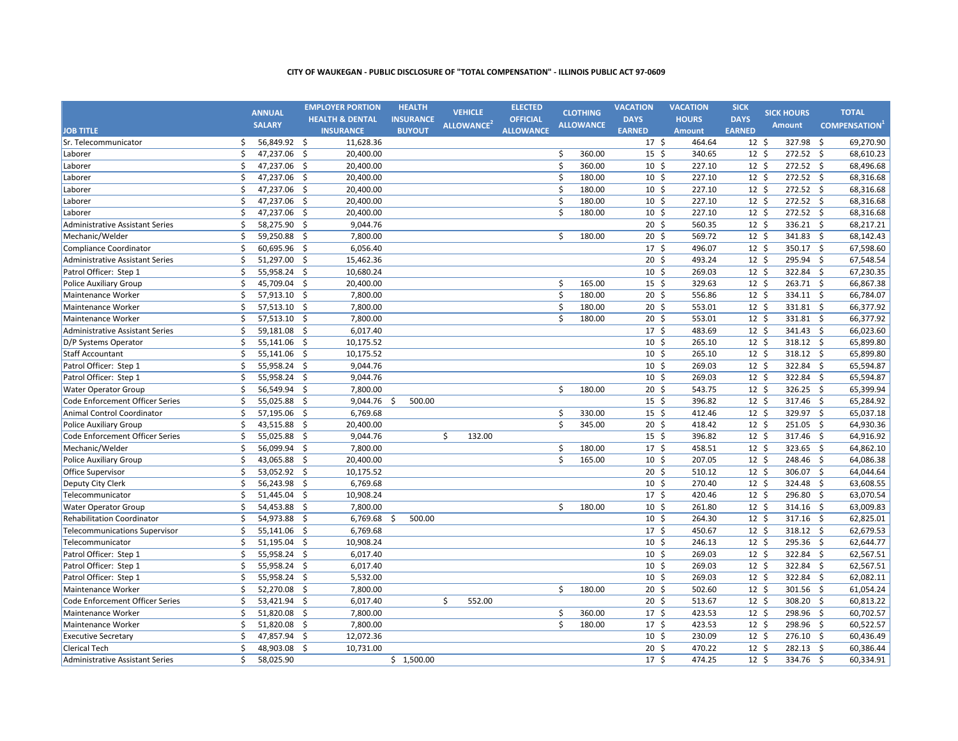|                                        |    | <b>ANNUAL</b> |                     | <b>EMPLOYER PORTION</b>    |    | <b>HEALTH</b>    | <b>VEHICLE</b>         | <b>ELECTED</b>   |         |                           | <b>CLOTHING</b>  | <b>VACATION</b>  | <b>VACATION</b> | <b>SICK</b>      | <b>SICK HOURS</b> |                    | <b>TOTAL</b>        |
|----------------------------------------|----|---------------|---------------------|----------------------------|----|------------------|------------------------|------------------|---------|---------------------------|------------------|------------------|-----------------|------------------|-------------------|--------------------|---------------------|
|                                        |    | <b>SALARY</b> |                     | <b>HEALTH &amp; DENTAL</b> |    | <b>INSURANCE</b> | ALLOWANCE <sup>2</sup> | <b>OFFICIAL</b>  |         |                           | <b>ALLOWANCE</b> | <b>DAYS</b>      | <b>HOURS</b>    | <b>DAYS</b>      | <b>Amount</b>     |                    | <b>COMPENSATION</b> |
| <b>JOB TITLE</b>                       |    |               |                     | <b>INSURANCE</b>           |    | <b>BUYOUT</b>    |                        | <b>ALLOWANCE</b> |         |                           |                  | <b>EARNED</b>    | <b>Amount</b>   | <b>EARNED</b>    |                   |                    |                     |
| Sr. Telecommunicator                   | \$ | 56,849.92 \$  |                     | 11,628.36                  |    |                  |                        |                  |         |                           |                  | 17 <sup>5</sup>  | 464.64          | $12 \text{ }$    | 327.98            | \$                 | 69,270.90           |
| Laborer                                | \$ | 47,237.06 \$  |                     | 20,400.00                  |    |                  |                        |                  |         | \$                        | 360.00           | $15 \quad$       | 340.65          | $12 \; \text{S}$ | 272.52 \$         |                    | 68,610.23           |
| Laborer                                | \$ | 47,237.06     | -\$                 | 20,400.00                  |    |                  |                        |                  |         | $\boldsymbol{\zeta}$      | 360.00           | 10 <sup>5</sup>  | 227.10          | 12 <sup>5</sup>  | 272.52            | \$                 | 68,496.68           |
| Laborer                                | \$ | 47,237.06     | -\$                 | 20,400.00                  |    |                  |                        |                  |         | \$                        | 180.00           | 10 <sup>5</sup>  | 227.10          | 12 <sup>5</sup>  | 272.52 \$         |                    | 68,316.68           |
| Laborer                                | \$ | 47,237.06     | $\mathsf{S}$        | 20,400.00                  |    |                  |                        |                  |         | \$                        | 180.00           | 10 <sup>5</sup>  | 227.10          | 12 <sup>5</sup>  | 272.52 \$         |                    | 68,316.68           |
| Laborer                                | \$ | 47,237.06 \$  |                     | 20,400.00                  |    |                  |                        |                  |         | \$                        | 180.00           | 10 <sup>5</sup>  | 227.10          | 12 <sup>5</sup>  | 272.52 \$         |                    | 68,316.68           |
| Laborer                                | \$ | 47,237.06 \$  |                     | 20,400.00                  |    |                  |                        |                  | Ś       |                           | 180.00           | 10 <sup>5</sup>  | 227.10          | 12 <sup>5</sup>  | 272.52 \$         |                    | 68,316.68           |
| <b>Administrative Assistant Series</b> | \$ | 58,275.90 \$  |                     | 9,044.76                   |    |                  |                        |                  |         |                           |                  | 20 <sub>5</sub>  | 560.35          | 12 <sup>5</sup>  | 336.21 \$         |                    | 68,217.21           |
| Mechanic/Welder                        | \$ | 59,250.88 \$  |                     | 7,800.00                   |    |                  |                        |                  |         | Ś.                        | 180.00           | 20 <sub>5</sub>  | 569.72          | 12 <sup>5</sup>  | 341.83 \$         |                    | 68,142.43           |
| Compliance Coordinator                 | Ś. | 60,695.96 \$  |                     | 6,056.40                   |    |                  |                        |                  |         |                           |                  | 17 <sup>5</sup>  | 496.07          | 12 <sup>5</sup>  | 350.17 \$         |                    | 67,598.60           |
| <b>Administrative Assistant Series</b> | \$ | 51,297.00 \$  |                     | 15,462.36                  |    |                  |                        |                  |         |                           |                  | $20 \,$ \$       | 493.24          | 12 <sup>5</sup>  | 295.94 \$         |                    | 67,548.54           |
| Patrol Officer: Step 1                 | \$ | 55,958.24 \$  |                     | 10,680.24                  |    |                  |                        |                  |         |                           |                  | 10 <sup>5</sup>  | 269.03          | 12 <sup>5</sup>  | 322.84            | -\$                | 67,230.35           |
| <b>Police Auxiliary Group</b>          | \$ | 45,709.04 \$  |                     | 20,400.00                  |    |                  |                        |                  |         | \$                        | 165.00           | 15 <sup>5</sup>  | 329.63          | 12 <sup>5</sup>  | 263.71 \$         |                    | 66,867.38           |
| Maintenance Worker                     | \$ | 57,913.10     | -\$                 | 7,800.00                   |    |                  |                        |                  |         | \$                        | 180.00           | $20 \; \text{S}$ | 556.86          | 12 <sup>5</sup>  | 334.11 \$         |                    | 66,784.07           |
| Maintenance Worker                     | Ś. | 57,513.10     | - \$                | 7,800.00                   |    |                  |                        |                  |         | \$                        | 180.00           | $20 \div$        | 553.01          | 12 <sup>5</sup>  | 331.81 \$         |                    | 66,377.92           |
| Maintenance Worker                     | \$ | 57,513.10     | \$                  | 7,800.00                   |    |                  |                        |                  | $\zeta$ |                           | 180.00           | $20 \; \text{S}$ | 553.01          | $12 \;$ \$       | 331.81 \$         |                    | 66,377.92           |
| <b>Administrative Assistant Series</b> | \$ | 59,181.08 \$  |                     | 6,017.40                   |    |                  |                        |                  |         |                           |                  | $17 \;$ \$       | 483.69          | $12 \;$ \$       | 341.43 \$         |                    | 66,023.60           |
| D/P Systems Operator                   | \$ | 55,141.06     | \$                  | 10,175.52                  |    |                  |                        |                  |         |                           |                  | $10 \;$ \$       | 265.10          | $12 \;$ \$       | $318.12$ \$       |                    | 65,899.80           |
| <b>Staff Accountant</b>                | \$ | 55,141.06 \$  |                     | 10,175.52                  |    |                  |                        |                  |         |                           |                  | 10 <sup>5</sup>  | 265.10          | 12 <sup>5</sup>  | 318.12 \$         |                    | 65,899.80           |
| Patrol Officer: Step 1                 | \$ | 55,958.24 \$  |                     | 9,044.76                   |    |                  |                        |                  |         |                           |                  | 10 <sup>5</sup>  | 269.03          | 12 <sup>5</sup>  | 322.84 \$         |                    | 65,594.87           |
| Patrol Officer: Step 1                 | \$ | 55,958.24 \$  |                     | 9,044.76                   |    |                  |                        |                  |         |                           |                  | 10 <sup>5</sup>  | 269.03          | 12 <sup>5</sup>  | 322.84 \$         |                    | 65,594.87           |
| <b>Water Operator Group</b>            | \$ | 56,549.94 \$  |                     | 7,800.00                   |    |                  |                        |                  |         | \$                        | 180.00           | 20 <sub>5</sub>  | 543.75          | 12 <sup>5</sup>  | 326.25 \$         |                    | 65,399.94           |
| Code Enforcement Officer Series        | \$ | 55,025.88     | -\$                 | 9,044.76                   | S. | 500.00           |                        |                  |         |                           |                  | 15 <sup>5</sup>  | 396.82          | 12 <sup>5</sup>  | 317.46 \$         |                    | 65,284.92           |
| Animal Control Coordinator             | \$ | 57,195.06 \$  |                     | 6,769.68                   |    |                  |                        |                  |         | \$                        | 330.00           | 15 <sup>5</sup>  | 412.46          | 12 <sup>5</sup>  | 329.97 \$         |                    | 65,037.18           |
| <b>Police Auxiliary Group</b>          | Ś  | 43,515.88 \$  |                     | 20,400.00                  |    |                  |                        |                  |         | $\boldsymbol{\mathsf{S}}$ | 345.00           | 20 <sub>5</sub>  | 418.42          | 12 <sup>5</sup>  | 251.05 \$         |                    | 64,930.36           |
| <b>Code Enforcement Officer Series</b> | Ś  | 55,025.88 \$  |                     | 9,044.76                   |    |                  | \$<br>132.00           |                  |         |                           |                  | 15 <sup>5</sup>  | 396.82          | 12 <sup>5</sup>  | 317.46 \$         |                    | 64,916.92           |
| Mechanic/Welder                        | \$ | 56,099.94 \$  |                     | 7,800.00                   |    |                  |                        |                  |         | \$                        | 180.00           | 17 <sup>5</sup>  | 458.51          | 12 <sup>5</sup>  | 323.65 \$         |                    | 64,862.10           |
| <b>Police Auxiliary Group</b>          | \$ | 43,065.88 \$  |                     | 20,400.00                  |    |                  |                        |                  |         | Ś.                        | 165.00           | 10 <sup>5</sup>  | 207.05          | 12 <sup>5</sup>  | 248.46 \$         |                    | 64,086.38           |
| Office Supervisor                      | \$ | 53,052.92 \$  |                     | 10,175.52                  |    |                  |                        |                  |         |                           |                  | 20 <sup>5</sup>  | 510.12          | 12 <sup>5</sup>  | 306.07 \$         |                    | 64,044.64           |
| Deputy City Clerk                      | \$ | 56,243.98 \$  |                     | 6,769.68                   |    |                  |                        |                  |         |                           |                  | 10 <sup>5</sup>  | 270.40          | 12 <sup>5</sup>  | 324.48            | -\$                | 63,608.55           |
| Telecommunicator                       | \$ | 51,445.04 \$  |                     | 10,908.24                  |    |                  |                        |                  |         |                           |                  | 17 <sup>5</sup>  | 420.46          | 12 <sup>5</sup>  | 296.80 \$         |                    | 63,070.54           |
| <b>Water Operator Group</b>            | Ś  | 54,453.88     | -\$                 | 7,800.00                   |    |                  |                        |                  |         | Ŝ.                        | 180.00           | 10 <sup>5</sup>  | 261.80          | 12 <sup>5</sup>  | 314.16            | -\$                | 63,009.83           |
| <b>Rehabilitation Coordinator</b>      | \$ | 54,973.88 \$  |                     | 6,769.68                   | Ŝ. | 500.00           |                        |                  |         |                           |                  | 10 <sup>5</sup>  | 264.30          | $12 \;$ \$       | 317.16 \$         |                    | 62,825.01           |
| <b>Telecommunications Supervisor</b>   | \$ | 55,141.06 \$  |                     | 6,769.68                   |    |                  |                        |                  |         |                           |                  | $17 \frac{2}{7}$ | 450.67          | $12 \;$ \$       | 318.12 \$         |                    | 62,679.53           |
| Telecommunicator                       | \$ | 51,195.04 \$  |                     | 10,908.24                  |    |                  |                        |                  |         |                           |                  | $10 \;$ \$       | 246.13          | $12 \;$ \$       | 295.36 \$         |                    | 62,644.77           |
| Patrol Officer: Step 1                 | \$ | 55,958.24 \$  |                     | 6,017.40                   |    |                  |                        |                  |         |                           |                  | $10 \;$ \$       | 269.03          | $12 \;$ \$       | 322.84 \$         |                    | 62,567.51           |
| Patrol Officer: Step 1                 | \$ | 55,958.24 \$  |                     | 6,017.40                   |    |                  |                        |                  |         |                           |                  | 10 <sup>5</sup>  | 269.03          | $12 \;$ \$       | 322.84 \$         |                    | 62,567.51           |
| Patrol Officer: Step 1                 | \$ | 55,958.24 \$  |                     | 5,532.00                   |    |                  |                        |                  |         |                           |                  | 10 <sup>5</sup>  | 269.03          | $12 \;$ \$       | 322.84 \$         |                    | 62,082.11           |
| Maintenance Worker                     | \$ | 52,270.08     | $\zeta$             | 7,800.00                   |    |                  |                        |                  |         | \$                        | 180.00           | 20 <sub>5</sub>  | 502.60          | 12 <sup>5</sup>  | 301.56            | $\mathsf{\hat{S}}$ | 61,054.24           |
| Code Enforcement Officer Series        | \$ | 53,421.94 \$  |                     | 6,017.40                   |    |                  | \$<br>552.00           |                  |         |                           |                  | 20 <sub>5</sub>  | 513.67          | 12 <sup>5</sup>  | 308.20            | $\mathsf{\hat{S}}$ | 60,813.22           |
| Maintenance Worker                     | Ś  | 51,820.08     | $\dot{\mathsf{S}}$  | 7,800.00                   |    |                  |                        |                  |         | \$                        | 360.00           | 17 <sup>5</sup>  | 423.53          | 12 <sup>5</sup>  | 298.96            | $\mathsf{\hat{S}}$ | 60,702.57           |
| Maintenance Worker                     | \$ | 51,820.08     | -\$                 | 7,800.00                   |    |                  |                        |                  |         | \$                        | 180.00           | 17 <sup>5</sup>  | 423.53          | 12 <sup>5</sup>  | 298.96 \$         |                    | 60,522.57           |
| <b>Executive Secretary</b>             | Ś  | 47,857.94     | $\ddot{\mathsf{S}}$ | 12,072.36                  |    |                  |                        |                  |         |                           |                  | 10 <sup>5</sup>  | 230.09          | 12 <sup>5</sup>  | 276.10 \$         |                    | 60,436.49           |
| <b>Clerical Tech</b>                   | Ś  | 48,903.08 \$  |                     | 10,731.00                  |    |                  |                        |                  |         |                           |                  | 20 <sub>5</sub>  | 470.22          | 12 <sup>5</sup>  | 282.13 \$         |                    | 60,386.44           |
| <b>Administrative Assistant Series</b> | Ś  | 58,025.90     |                     |                            |    | \$1,500.00       |                        |                  |         |                           |                  | 17 <sup>5</sup>  | 474.25          | 12 <sup>5</sup>  | 334.76 \$         |                    | 60,334.91           |
|                                        |    |               |                     |                            |    |                  |                        |                  |         |                           |                  |                  |                 |                  |                   |                    |                     |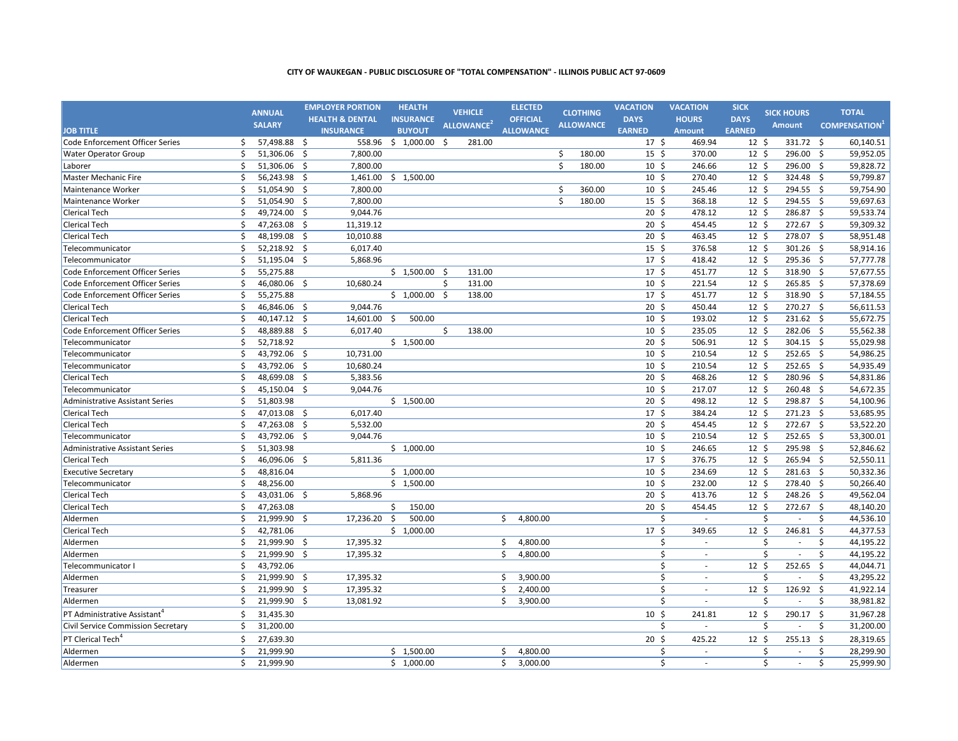|                                          |    | <b>ANNUAL</b> |     | <b>EMPLOYER PORTION</b>    | <b>HEALTH</b>          | <b>VEHICLE</b>         |    | <b>ELECTED</b>   |    | <b>CLOTHING</b>  | <b>VACATION</b>  | <b>VACATION</b>          | <b>SICK</b>     | <b>SICK HOURS</b>  |           |              | <b>TOTAL</b>        |
|------------------------------------------|----|---------------|-----|----------------------------|------------------------|------------------------|----|------------------|----|------------------|------------------|--------------------------|-----------------|--------------------|-----------|--------------|---------------------|
|                                          |    | <b>SALARY</b> |     | <b>HEALTH &amp; DENTAL</b> | <b>INSURANCE</b>       | ALLOWANCE <sup>2</sup> |    | <b>OFFICIAL</b>  |    | <b>ALLOWANCE</b> | <b>DAYS</b>      | <b>HOURS</b>             | <b>DAYS</b>     | <b>Amount</b>      |           |              | <b>COMPENSATION</b> |
| <b>JOB TITLE</b>                         |    |               |     | <b>INSURANCE</b>           | <b>BUYOUT</b>          |                        |    | <b>ALLOWANCE</b> |    |                  | <b>EARNED</b>    | <b>Amount</b>            | <b>EARNED</b>   |                    |           |              |                     |
| Code Enforcement Officer Series          | \$ | 57,498.88 \$  |     |                            | 558.96 \$ 1,000.00 \$  | 281.00                 |    |                  |    |                  | 17 <sup>5</sup>  | 469.94                   | $12 \text{ }$   |                    | 331.72 \$ |              | 60,140.51           |
| <b>Water Operator Group</b>              | \$ | 51,306.06 \$  |     | 7,800.00                   |                        |                        |    |                  | \$ | 180.00           | $15 \;$ \$       | 370.00                   | $12 \cdot 5$    |                    | 296.00 \$ |              | 59,952.05           |
| Laborer                                  | Ś. | 51,306.06 \$  |     | 7.800.00                   |                        |                        |    |                  | Ś. | 180.00           | 10 <sup>5</sup>  | 246.66                   | 12 <sup>5</sup> |                    | 296.00 \$ |              | 59,828.72           |
| Master Mechanic Fire                     | \$ | 56,243.98 \$  |     |                            | 1,461.00 \$ 1,500.00   |                        |    |                  |    |                  | 10 <sup>5</sup>  | 270.40                   | $12 \text{ }$   |                    | 324.48 \$ |              | 59,799.87           |
| Maintenance Worker                       | \$ | 51,054.90     | -\$ | 7,800.00                   |                        |                        |    |                  | \$ | 360.00           | 10 <sup>5</sup>  | 245.46                   | $12 \text{ }$   |                    | 294.55    | - \$         | 59,754.90           |
| Maintenance Worker                       | \$ | 51,054.90 \$  |     | 7,800.00                   |                        |                        |    |                  | Ś  | 180.00           | $15 \; \text{S}$ | 368.18                   | $12 \text{ }$   |                    | 294.55 \$ |              | 59,697.63           |
| <b>Clerical Tech</b>                     | \$ | 49,724.00     | -\$ | 9,044.76                   |                        |                        |    |                  |    |                  | 20 <sub>5</sub>  | 478.12                   | $12 \text{ }$   |                    | 286.87    | - \$         | 59,533.74           |
| <b>Clerical Tech</b>                     | Ś. | 47,263.08 \$  |     | 11,319.12                  |                        |                        |    |                  |    |                  | 20 <sub>5</sub>  | 454.45                   | 12 <sup>5</sup> |                    | 272.67 \$ |              | 59,309.32           |
| <b>Clerical Tech</b>                     | \$ | 48,199.08     | -\$ | 10,010.88                  |                        |                        |    |                  |    |                  | $20 \; \text{S}$ | 463.45                   | 12 <sup>5</sup> |                    | 278.07 \$ |              | 58,951.48           |
| Telecommunicator                         | \$ | 52,218.92 \$  |     | 6,017.40                   |                        |                        |    |                  |    |                  | $15 \; \text{S}$ | 376.58                   | $12 \;$ \$      |                    | 301.26 \$ |              | 58,914.16           |
| Telecommunicator                         | \$ | 51,195.04 \$  |     | 5,868.96                   |                        |                        |    |                  |    |                  | 17 <sup>5</sup>  | 418.42                   | $12 \text{ }$   |                    | 295.36 \$ |              | 57,777.78           |
| Code Enforcement Officer Series          | Ś. | 55,275.88     |     |                            | \$1,500.00\$           | 131.00                 |    |                  |    |                  | 17 <sup>5</sup>  | 451.77                   | 12 <sup>5</sup> |                    | 318.90 \$ |              | 57,677.55           |
| Code Enforcement Officer Series          | \$ | 46,080.06 \$  |     | 10,680.24                  |                        | \$<br>131.00           |    |                  |    |                  | 10 <sup>5</sup>  | 221.54                   | $12 \cdot 5$    |                    | 265.85 \$ |              | 57,378.69           |
| Code Enforcement Officer Series          | Ś. | 55.275.88     |     |                            | \$1,000.00\$           | 138.00                 |    |                  |    |                  | 17 <sup>5</sup>  | 451.77                   | 12 <sup>5</sup> |                    | 318.90 \$ |              | 57,184.55           |
| <b>Clerical Tech</b>                     | \$ | 46,846.06 \$  |     | 9,044.76                   |                        |                        |    |                  |    |                  | $20 \; \text{S}$ | 450.44                   | $12 \;$ \$      |                    | 270.27 \$ |              | 56,611.53           |
| <b>Clerical Tech</b>                     | \$ | 40,147.12 \$  |     | 14,601.00                  | $\mathsf{S}$<br>500.00 |                        |    |                  |    |                  | $10 \; \text{S}$ | 193.02                   | 12 <sup>5</sup> |                    | 231.62 \$ |              | 55,672.75           |
| Code Enforcement Officer Series          | \$ | 48,889.88 \$  |     | 6,017.40                   |                        | \$<br>138.00           |    |                  |    |                  | 10 <sup>5</sup>  | 235.05                   | $12 \text{ }$   |                    | 282.06 \$ |              | 55,562.38           |
| Telecommunicator                         | \$ | 52,718.92     |     |                            | \$1,500.00             |                        |    |                  |    |                  | 20 <sub>5</sub>  | 506.91                   | $12 \text{ }$   |                    | 304.15 \$ |              | 55,029.98           |
| Telecommunicator                         | Ś. | 43,792.06 \$  |     | 10,731.00                  |                        |                        |    |                  |    |                  | 10 <sup>5</sup>  | 210.54                   | 12 <sup>5</sup> |                    | 252.65 \$ |              | 54,986.25           |
| Telecommunicator                         | Ś  | 43,792.06     | -\$ | 10,680.24                  |                        |                        |    |                  |    |                  | 10 <sup>5</sup>  | 210.54                   | 12 <sup>5</sup> |                    | 252.65 \$ |              | 54,935.49           |
| <b>Clerical Tech</b>                     | \$ | 48,699.08 \$  |     | 5,383.56                   |                        |                        |    |                  |    |                  | $20 \; \text{S}$ | 468.26                   | $12 \;$ \$      |                    | 280.96 \$ |              | 54,831.86           |
| Telecommunicator                         | \$ | 45,150.04 \$  |     | 9,044.76                   |                        |                        |    |                  |    |                  | 10 <sup>5</sup>  | 217.07                   | $12 \text{ }$   |                    | 260.48 \$ |              | 54,672.35           |
| <b>Administrative Assistant Series</b>   | Ś. | 51,803.98     |     |                            | \$1,500.00             |                        |    |                  |    |                  | 20 <sub>5</sub>  | 498.12                   | $12 \text{ }$   |                    | 298.87 \$ |              | 54,100.96           |
| <b>Clerical Tech</b>                     | \$ | 47,013.08 \$  |     | 6,017.40                   |                        |                        |    |                  |    |                  | 17 <sup>5</sup>  | 384.24                   | $12 \text{ }$   |                    | 271.23 \$ |              | 53,685.95           |
| <b>Clerical Tech</b>                     | Ś. | 47,263.08 \$  |     | 5,532.00                   |                        |                        |    |                  |    |                  | 20 <sub>5</sub>  | 454.45                   | 12 <sup>5</sup> |                    | 272.67 \$ |              | 53,522.20           |
| Telecommunicator                         | \$ | 43,792.06 \$  |     | 9,044.76                   |                        |                        |    |                  |    |                  | $10 \; \text{S}$ | 210.54                   | $12 \;$ \$      |                    | 252.65 \$ |              | 53,300.01           |
| <b>Administrative Assistant Series</b>   | \$ | 51,303.98     |     |                            | \$1,000.00             |                        |    |                  |    |                  | 10 <sup>5</sup>  | 246.65                   | $12 \text{ }$   |                    | 295.98    | -\$          | 52,846.62           |
| <b>Clerical Tech</b>                     | \$ | 46,096.06 \$  |     | 5,811.36                   |                        |                        |    |                  |    |                  | 17 <sup>5</sup>  | 376.75                   | $12 \text{ }$   |                    | 265.94 \$ |              | 52,550.11           |
| <b>Executive Secretary</b>               | \$ | 48,816.04     |     |                            | \$1,000.00             |                        |    |                  |    |                  | 10 <sup>5</sup>  | 234.69                   | $12 \text{ }$   |                    | 281.63 \$ |              | 50,332.36           |
| Telecommunicator                         | \$ | 48,256.00     |     |                            | \$1,500.00             |                        |    |                  |    |                  | 10 <sup>5</sup>  | 232.00                   | 12 <sup>5</sup> |                    | 278.40 \$ |              | 50,266.40           |
| <b>Clerical Tech</b>                     | \$ | 43,031.06 \$  |     | 5,868.96                   |                        |                        |    |                  |    |                  | 20 <sub>5</sub>  | 413.76                   | 12 <sup>5</sup> |                    | 248.26 \$ |              | 49,562.04           |
| <b>Clerical Tech</b>                     | \$ | 47,263.08     |     |                            | \$<br>150.00           |                        |    |                  |    |                  | $20 \; \text{S}$ | 454.45                   | 12 <sup>5</sup> |                    | 272.67 \$ |              | 48,140.20           |
| Aldermen                                 | \$ | 21,999.90 \$  |     | 17,236.20                  | 500.00<br>\$           |                        | \$ | 4,800.00         |    |                  | \$               | $\overline{\phantom{a}}$ |                 | \$                 | $\sim$    | \$           | 44,536.10           |
| <b>Clerical Tech</b>                     | \$ | 42,781.06     |     |                            | \$1,000.00             |                        |    |                  |    |                  | 17 <sup>5</sup>  | 349.65                   | 12 <sup>5</sup> |                    | 246.81    | \$           | 44,377.53           |
| Aldermen                                 | \$ | 21,999.90 \$  |     | 17,395.32                  |                        |                        | \$ | 4,800.00         |    |                  | Ś.               | $\blacksquare$           |                 | Ś                  | $\sim$    | \$           | 44,195.22           |
| Aldermen                                 | Ś. | 21,999.90     | Ŝ.  | 17,395.32                  |                        |                        | Ś. | 4,800.00         |    |                  | Ś.               | $\sim$                   |                 | $\mathsf{\hat{S}}$ | $\sim$    | \$           | 44,195.22           |
| Telecommunicator I                       | \$ | 43,792.06     |     |                            |                        |                        |    |                  |    |                  | \$               | $\sim$                   | $12 \text{ }$   |                    | 252.65    | -\$          | 44,044.71           |
| Aldermen                                 | \$ | 21,999.90 \$  |     | 17,395.32                  |                        |                        | \$ | 3,900.00         |    |                  | \$               | $\sim$                   |                 | \$                 | $\sim$    | \$           | 43,295.22           |
| Treasurer                                | \$ | 21,999.90 \$  |     | 17,395.32                  |                        |                        | \$ | 2,400.00         |    |                  | \$               | $\overline{\phantom{a}}$ | 12 <sup>5</sup> |                    | 126.92    | - \$         | 41,922.14           |
| Aldermen                                 | Ś  | 21,999.90     | -\$ | 13,081.92                  |                        |                        | \$ | 3,900.00         |    |                  | \$               | $\overline{\phantom{a}}$ |                 | \$                 | $\sim$    | \$           | 38,981.82           |
| PT Administrative Assistant <sup>4</sup> | Ś. | 31,435.30     |     |                            |                        |                        |    |                  |    |                  | 10 <sup>5</sup>  | 241.81                   | 12S             |                    | 290.17 \$ |              | 31,967.28           |
| Civil Service Commission Secretary       | Ś. | 31,200.00     |     |                            |                        |                        |    |                  |    |                  | Ś.               | $\overline{\phantom{a}}$ |                 | Ŝ.                 | $\sim$    | Ś.           | 31,200.00           |
| PT Clerical Tech <sup>4</sup>            | \$ | 27,639.30     |     |                            |                        |                        |    |                  |    |                  | $20 \;$ \$       | 425.22                   | $12 \text{ }$   |                    | 255.13    | $\mathsf{S}$ | 28,319.65           |
| Aldermen                                 | \$ | 21,999.90     |     |                            | \$1,500.00             |                        | \$ | 4,800.00         |    |                  | Ś                | $\overline{\phantom{a}}$ |                 | Ś                  | $\sim$    | \$           | 28,299.90           |
| Aldermen                                 | \$ | 21,999.90     |     |                            | \$1,000.00             |                        | \$ | 3,000.00         |    |                  | \$               |                          |                 | Ś                  | $\sim$    | \$           | 25,999.90           |
|                                          |    |               |     |                            |                        |                        |    |                  |    |                  |                  |                          |                 |                    |           |              |                     |